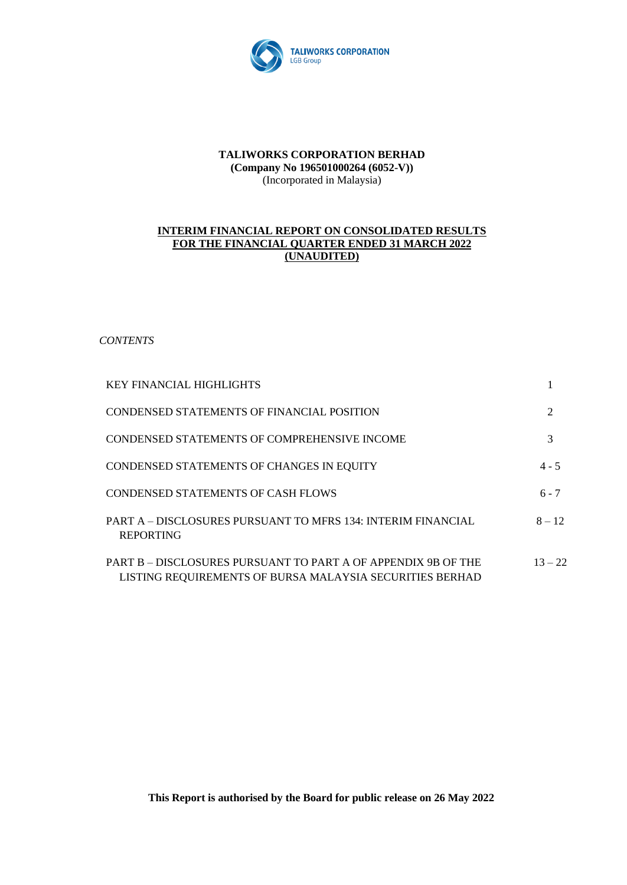

### **TALIWORKS CORPORATION BERHAD (Company No 196501000264 (6052-V))** (Incorporated in Malaysia)

### **INTERIM FINANCIAL REPORT ON CONSOLIDATED RESULTS FOR THE FINANCIAL QUARTER ENDED 31 MARCH 2022 (UNAUDITED)**

*CONTENTS*

| <b>KEY FINANCIAL HIGHLIGHTS</b>                                                                                           |           |
|---------------------------------------------------------------------------------------------------------------------------|-----------|
| CONDENSED STATEMENTS OF FINANCIAL POSITION                                                                                | 2         |
| CONDENSED STATEMENTS OF COMPREHENSIVE INCOME                                                                              | 3         |
| CONDENSED STATEMENTS OF CHANGES IN EQUITY                                                                                 | $4 - 5$   |
| <b>CONDENSED STATEMENTS OF CASH FLOWS</b>                                                                                 | $6 - 7$   |
| PART A – DISCLOSURES PURSUANT TO MFRS 134: INTERIM FINANCIAL<br><b>REPORTING</b>                                          | $8 - 12$  |
| PART B – DISCLOSURES PURSUANT TO PART A OF APPENDIX 9B OF THE<br>LISTING REQUIREMENTS OF BURSA MALAYSIA SECURITIES BERHAD | $13 - 22$ |

**This Report is authorised by the Board for public release on 26 May 2022**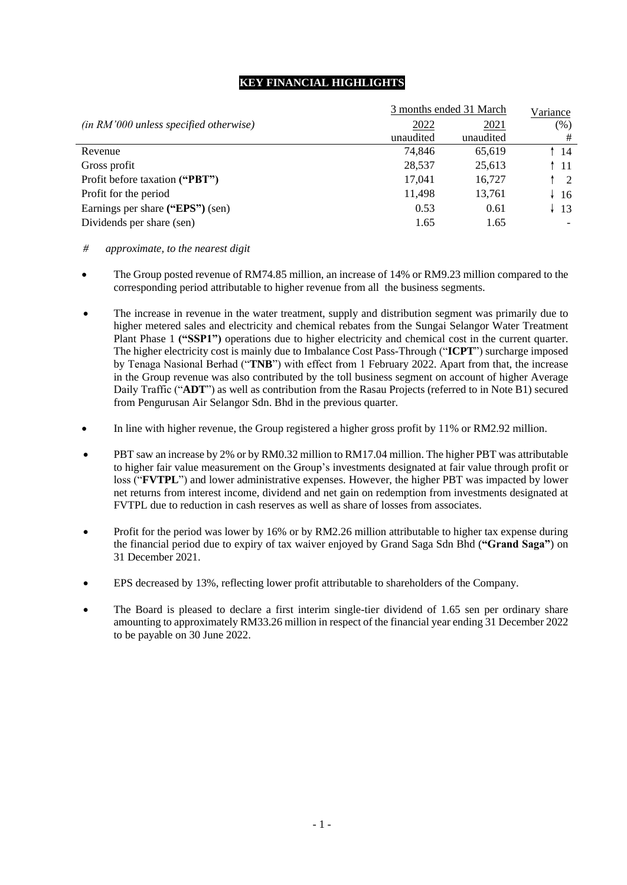### **KEY FINANCIAL HIGHLIGHTS**

|                                          | 3 months ended 31 March |           |                 |  |  |
|------------------------------------------|-------------------------|-----------|-----------------|--|--|
| $(in RM'000 unless specified otherwise)$ | 2022                    | 2021      | (% )            |  |  |
|                                          | unaudited               | unaudited | #               |  |  |
| Revenue                                  | 74.846                  | 65,619    | -14             |  |  |
| Gross profit                             | 28,537                  | 25,613    | $\uparrow$ 11   |  |  |
| Profit before taxation ("PBT")           | 17,041                  | 16,727    | $\overline{2}$  |  |  |
| Profit for the period                    | 11,498                  | 13,761    | $\downarrow$ 16 |  |  |
| Earnings per share ("EPS") (sen)         | 0.53                    | 0.61      | -13             |  |  |
| Dividends per share (sen)                | 1.65                    | 1.65      |                 |  |  |

- *# approximate, to the nearest digit*
- The Group posted revenue of RM74.85 million, an increase of 14% or RM9.23 million compared to the corresponding period attributable to higher revenue from all the business segments.
- The increase in revenue in the water treatment, supply and distribution segment was primarily due to higher metered sales and electricity and chemical rebates from the Sungai Selangor Water Treatment Plant Phase 1 **("SSP1")** operations due to higher electricity and chemical cost in the current quarter. The higher electricity cost is mainly due to Imbalance Cost Pass-Through ("**ICPT**") surcharge imposed by Tenaga Nasional Berhad ("**TNB**") with effect from 1 February 2022. Apart from that, the increase in the Group revenue was also contributed by the toll business segment on account of higher Average Daily Traffic ("**ADT**") as well as contribution from the Rasau Projects (referred to in Note B1) secured from Pengurusan Air Selangor Sdn. Bhd in the previous quarter.
- In line with higher revenue, the Group registered a higher gross profit by 11% or RM2.92 million.
- PBT saw an increase by 2% or by RM0.32 million to RM17.04 million. The higher PBT was attributable to higher fair value measurement on the Group's investments designated at fair value through profit or loss ("**FVTPL**") and lower administrative expenses. However, the higher PBT was impacted by lower net returns from interest income, dividend and net gain on redemption from investments designated at FVTPL due to reduction in cash reserves as well as share of losses from associates.
- Profit for the period was lower by 16% or by RM2.26 million attributable to higher tax expense during the financial period due to expiry of tax waiver enjoyed by Grand Saga Sdn Bhd (**"Grand Saga"**) on 31 December 2021.
- EPS decreased by 13%, reflecting lower profit attributable to shareholders of the Company.
- The Board is pleased to declare a first interim single-tier dividend of 1.65 sen per ordinary share amounting to approximately RM33.26 million in respect of the financial year ending 31 December 2022 to be payable on 30 June 2022.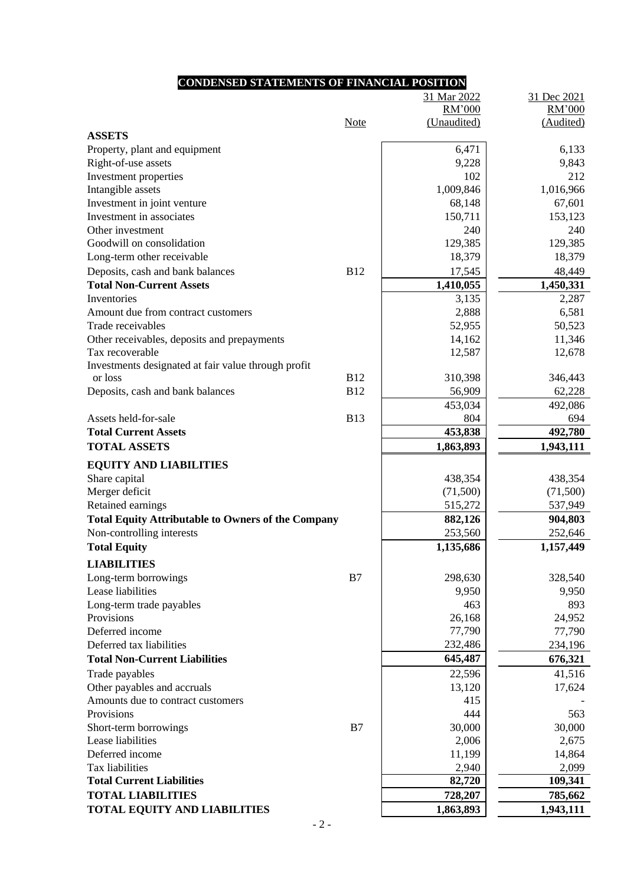# **CONDENSED STATEMENTS OF FINANCIAL POSITION**

| RM'000<br>RM'000<br><b>Note</b><br>(Unaudited)<br>(Audited)<br><b>ASSETS</b><br>6,471<br>Property, plant and equipment<br>6,133<br>Right-of-use assets<br>9,228<br>9,843<br>102<br>Investment properties<br>212<br>Intangible assets<br>1,009,846<br>1,016,966<br>68,148<br>Investment in joint venture<br>67,601<br>Investment in associates<br>150,711<br>153,123<br>Other investment<br>240<br>240<br>Goodwill on consolidation<br>129,385<br>129,385<br>18,379<br>Long-term other receivable<br>18,379<br><b>B12</b><br>17,545<br>48,449<br>Deposits, cash and bank balances<br>1,410,055<br><b>Total Non-Current Assets</b><br>1,450,331<br>Inventories<br>3,135<br>2,287<br>2,888<br>6,581<br>Amount due from contract customers<br>50,523<br>Trade receivables<br>52,955<br>11,346<br>Other receivables, deposits and prepayments<br>14,162<br>12,587<br>12,678<br>Tax recoverable<br>Investments designated at fair value through profit<br><b>B12</b><br>310,398<br>346,443<br>or loss<br><b>B12</b><br>62,228<br>Deposits, cash and bank balances<br>56,909<br>492,086<br>453,034<br>Assets held-for-sale<br><b>B13</b><br>804<br>694<br><b>Total Current Assets</b><br>453,838<br>492,780<br><b>TOTAL ASSETS</b><br>1,943,111<br>1,863,893<br><b>EQUITY AND LIABILITIES</b><br>Share capital<br>438,354<br>438,354<br>Merger deficit<br>(71,500)<br>(71,500)<br>Retained earnings<br>515,272<br>537,949<br>904,803<br><b>Total Equity Attributable to Owners of the Company</b><br>882,126<br>Non-controlling interests<br>253,560<br>252,646<br><b>Total Equity</b><br>1,135,686<br>1,157,449<br><b>LIABILITIES</b><br>Long-term borrowings<br>B7<br>298,630<br>328,540<br>Lease liabilities<br>9,950<br>9,950<br>893<br>Long-term trade payables<br>463<br>Provisions<br>26,168<br>24,952<br>77,790<br>Deferred income<br>77,790<br>Deferred tax liabilities<br>232,486<br>234,196<br>645,487<br><b>Total Non-Current Liabilities</b><br>676,321<br>22,596<br>41,516<br>Trade payables<br>Other payables and accruals<br>13,120<br>17,624<br>Amounts due to contract customers<br>415<br>Provisions<br>444<br>563<br>30,000<br>Short-term borrowings<br>B7<br>30,000<br>Lease liabilities<br>2,006<br>2,675<br>Deferred income<br>14,864<br>11,199<br>Tax liabilities<br>2,099<br>2,940<br><b>Total Current Liabilities</b><br>109,341<br>82,720<br><b>TOTAL LIABILITIES</b><br>785,662<br>728,207<br><b>TOTAL EQUITY AND LIABILITIES</b><br>1,863,893<br>1,943,111 |  | 31 Mar 2022 | 31 Dec 2021 |
|----------------------------------------------------------------------------------------------------------------------------------------------------------------------------------------------------------------------------------------------------------------------------------------------------------------------------------------------------------------------------------------------------------------------------------------------------------------------------------------------------------------------------------------------------------------------------------------------------------------------------------------------------------------------------------------------------------------------------------------------------------------------------------------------------------------------------------------------------------------------------------------------------------------------------------------------------------------------------------------------------------------------------------------------------------------------------------------------------------------------------------------------------------------------------------------------------------------------------------------------------------------------------------------------------------------------------------------------------------------------------------------------------------------------------------------------------------------------------------------------------------------------------------------------------------------------------------------------------------------------------------------------------------------------------------------------------------------------------------------------------------------------------------------------------------------------------------------------------------------------------------------------------------------------------------------------------------------------------------------------------------------------------------------------------------------------------------------------------------------------------------------------------------------------------------------------------------------------------------------------------------------------------------------------------------------------------------------------------------------------------------------------------------------------------------------------------------------------------------|--|-------------|-------------|
|                                                                                                                                                                                                                                                                                                                                                                                                                                                                                                                                                                                                                                                                                                                                                                                                                                                                                                                                                                                                                                                                                                                                                                                                                                                                                                                                                                                                                                                                                                                                                                                                                                                                                                                                                                                                                                                                                                                                                                                                                                                                                                                                                                                                                                                                                                                                                                                                                                                                                  |  |             |             |
|                                                                                                                                                                                                                                                                                                                                                                                                                                                                                                                                                                                                                                                                                                                                                                                                                                                                                                                                                                                                                                                                                                                                                                                                                                                                                                                                                                                                                                                                                                                                                                                                                                                                                                                                                                                                                                                                                                                                                                                                                                                                                                                                                                                                                                                                                                                                                                                                                                                                                  |  |             |             |
|                                                                                                                                                                                                                                                                                                                                                                                                                                                                                                                                                                                                                                                                                                                                                                                                                                                                                                                                                                                                                                                                                                                                                                                                                                                                                                                                                                                                                                                                                                                                                                                                                                                                                                                                                                                                                                                                                                                                                                                                                                                                                                                                                                                                                                                                                                                                                                                                                                                                                  |  |             |             |
|                                                                                                                                                                                                                                                                                                                                                                                                                                                                                                                                                                                                                                                                                                                                                                                                                                                                                                                                                                                                                                                                                                                                                                                                                                                                                                                                                                                                                                                                                                                                                                                                                                                                                                                                                                                                                                                                                                                                                                                                                                                                                                                                                                                                                                                                                                                                                                                                                                                                                  |  |             |             |
|                                                                                                                                                                                                                                                                                                                                                                                                                                                                                                                                                                                                                                                                                                                                                                                                                                                                                                                                                                                                                                                                                                                                                                                                                                                                                                                                                                                                                                                                                                                                                                                                                                                                                                                                                                                                                                                                                                                                                                                                                                                                                                                                                                                                                                                                                                                                                                                                                                                                                  |  |             |             |
|                                                                                                                                                                                                                                                                                                                                                                                                                                                                                                                                                                                                                                                                                                                                                                                                                                                                                                                                                                                                                                                                                                                                                                                                                                                                                                                                                                                                                                                                                                                                                                                                                                                                                                                                                                                                                                                                                                                                                                                                                                                                                                                                                                                                                                                                                                                                                                                                                                                                                  |  |             |             |
|                                                                                                                                                                                                                                                                                                                                                                                                                                                                                                                                                                                                                                                                                                                                                                                                                                                                                                                                                                                                                                                                                                                                                                                                                                                                                                                                                                                                                                                                                                                                                                                                                                                                                                                                                                                                                                                                                                                                                                                                                                                                                                                                                                                                                                                                                                                                                                                                                                                                                  |  |             |             |
|                                                                                                                                                                                                                                                                                                                                                                                                                                                                                                                                                                                                                                                                                                                                                                                                                                                                                                                                                                                                                                                                                                                                                                                                                                                                                                                                                                                                                                                                                                                                                                                                                                                                                                                                                                                                                                                                                                                                                                                                                                                                                                                                                                                                                                                                                                                                                                                                                                                                                  |  |             |             |
|                                                                                                                                                                                                                                                                                                                                                                                                                                                                                                                                                                                                                                                                                                                                                                                                                                                                                                                                                                                                                                                                                                                                                                                                                                                                                                                                                                                                                                                                                                                                                                                                                                                                                                                                                                                                                                                                                                                                                                                                                                                                                                                                                                                                                                                                                                                                                                                                                                                                                  |  |             |             |
|                                                                                                                                                                                                                                                                                                                                                                                                                                                                                                                                                                                                                                                                                                                                                                                                                                                                                                                                                                                                                                                                                                                                                                                                                                                                                                                                                                                                                                                                                                                                                                                                                                                                                                                                                                                                                                                                                                                                                                                                                                                                                                                                                                                                                                                                                                                                                                                                                                                                                  |  |             |             |
|                                                                                                                                                                                                                                                                                                                                                                                                                                                                                                                                                                                                                                                                                                                                                                                                                                                                                                                                                                                                                                                                                                                                                                                                                                                                                                                                                                                                                                                                                                                                                                                                                                                                                                                                                                                                                                                                                                                                                                                                                                                                                                                                                                                                                                                                                                                                                                                                                                                                                  |  |             |             |
|                                                                                                                                                                                                                                                                                                                                                                                                                                                                                                                                                                                                                                                                                                                                                                                                                                                                                                                                                                                                                                                                                                                                                                                                                                                                                                                                                                                                                                                                                                                                                                                                                                                                                                                                                                                                                                                                                                                                                                                                                                                                                                                                                                                                                                                                                                                                                                                                                                                                                  |  |             |             |
|                                                                                                                                                                                                                                                                                                                                                                                                                                                                                                                                                                                                                                                                                                                                                                                                                                                                                                                                                                                                                                                                                                                                                                                                                                                                                                                                                                                                                                                                                                                                                                                                                                                                                                                                                                                                                                                                                                                                                                                                                                                                                                                                                                                                                                                                                                                                                                                                                                                                                  |  |             |             |
|                                                                                                                                                                                                                                                                                                                                                                                                                                                                                                                                                                                                                                                                                                                                                                                                                                                                                                                                                                                                                                                                                                                                                                                                                                                                                                                                                                                                                                                                                                                                                                                                                                                                                                                                                                                                                                                                                                                                                                                                                                                                                                                                                                                                                                                                                                                                                                                                                                                                                  |  |             |             |
|                                                                                                                                                                                                                                                                                                                                                                                                                                                                                                                                                                                                                                                                                                                                                                                                                                                                                                                                                                                                                                                                                                                                                                                                                                                                                                                                                                                                                                                                                                                                                                                                                                                                                                                                                                                                                                                                                                                                                                                                                                                                                                                                                                                                                                                                                                                                                                                                                                                                                  |  |             |             |
|                                                                                                                                                                                                                                                                                                                                                                                                                                                                                                                                                                                                                                                                                                                                                                                                                                                                                                                                                                                                                                                                                                                                                                                                                                                                                                                                                                                                                                                                                                                                                                                                                                                                                                                                                                                                                                                                                                                                                                                                                                                                                                                                                                                                                                                                                                                                                                                                                                                                                  |  |             |             |
|                                                                                                                                                                                                                                                                                                                                                                                                                                                                                                                                                                                                                                                                                                                                                                                                                                                                                                                                                                                                                                                                                                                                                                                                                                                                                                                                                                                                                                                                                                                                                                                                                                                                                                                                                                                                                                                                                                                                                                                                                                                                                                                                                                                                                                                                                                                                                                                                                                                                                  |  |             |             |
|                                                                                                                                                                                                                                                                                                                                                                                                                                                                                                                                                                                                                                                                                                                                                                                                                                                                                                                                                                                                                                                                                                                                                                                                                                                                                                                                                                                                                                                                                                                                                                                                                                                                                                                                                                                                                                                                                                                                                                                                                                                                                                                                                                                                                                                                                                                                                                                                                                                                                  |  |             |             |
|                                                                                                                                                                                                                                                                                                                                                                                                                                                                                                                                                                                                                                                                                                                                                                                                                                                                                                                                                                                                                                                                                                                                                                                                                                                                                                                                                                                                                                                                                                                                                                                                                                                                                                                                                                                                                                                                                                                                                                                                                                                                                                                                                                                                                                                                                                                                                                                                                                                                                  |  |             |             |
|                                                                                                                                                                                                                                                                                                                                                                                                                                                                                                                                                                                                                                                                                                                                                                                                                                                                                                                                                                                                                                                                                                                                                                                                                                                                                                                                                                                                                                                                                                                                                                                                                                                                                                                                                                                                                                                                                                                                                                                                                                                                                                                                                                                                                                                                                                                                                                                                                                                                                  |  |             |             |
|                                                                                                                                                                                                                                                                                                                                                                                                                                                                                                                                                                                                                                                                                                                                                                                                                                                                                                                                                                                                                                                                                                                                                                                                                                                                                                                                                                                                                                                                                                                                                                                                                                                                                                                                                                                                                                                                                                                                                                                                                                                                                                                                                                                                                                                                                                                                                                                                                                                                                  |  |             |             |
|                                                                                                                                                                                                                                                                                                                                                                                                                                                                                                                                                                                                                                                                                                                                                                                                                                                                                                                                                                                                                                                                                                                                                                                                                                                                                                                                                                                                                                                                                                                                                                                                                                                                                                                                                                                                                                                                                                                                                                                                                                                                                                                                                                                                                                                                                                                                                                                                                                                                                  |  |             |             |
|                                                                                                                                                                                                                                                                                                                                                                                                                                                                                                                                                                                                                                                                                                                                                                                                                                                                                                                                                                                                                                                                                                                                                                                                                                                                                                                                                                                                                                                                                                                                                                                                                                                                                                                                                                                                                                                                                                                                                                                                                                                                                                                                                                                                                                                                                                                                                                                                                                                                                  |  |             |             |
|                                                                                                                                                                                                                                                                                                                                                                                                                                                                                                                                                                                                                                                                                                                                                                                                                                                                                                                                                                                                                                                                                                                                                                                                                                                                                                                                                                                                                                                                                                                                                                                                                                                                                                                                                                                                                                                                                                                                                                                                                                                                                                                                                                                                                                                                                                                                                                                                                                                                                  |  |             |             |
|                                                                                                                                                                                                                                                                                                                                                                                                                                                                                                                                                                                                                                                                                                                                                                                                                                                                                                                                                                                                                                                                                                                                                                                                                                                                                                                                                                                                                                                                                                                                                                                                                                                                                                                                                                                                                                                                                                                                                                                                                                                                                                                                                                                                                                                                                                                                                                                                                                                                                  |  |             |             |
|                                                                                                                                                                                                                                                                                                                                                                                                                                                                                                                                                                                                                                                                                                                                                                                                                                                                                                                                                                                                                                                                                                                                                                                                                                                                                                                                                                                                                                                                                                                                                                                                                                                                                                                                                                                                                                                                                                                                                                                                                                                                                                                                                                                                                                                                                                                                                                                                                                                                                  |  |             |             |
|                                                                                                                                                                                                                                                                                                                                                                                                                                                                                                                                                                                                                                                                                                                                                                                                                                                                                                                                                                                                                                                                                                                                                                                                                                                                                                                                                                                                                                                                                                                                                                                                                                                                                                                                                                                                                                                                                                                                                                                                                                                                                                                                                                                                                                                                                                                                                                                                                                                                                  |  |             |             |
|                                                                                                                                                                                                                                                                                                                                                                                                                                                                                                                                                                                                                                                                                                                                                                                                                                                                                                                                                                                                                                                                                                                                                                                                                                                                                                                                                                                                                                                                                                                                                                                                                                                                                                                                                                                                                                                                                                                                                                                                                                                                                                                                                                                                                                                                                                                                                                                                                                                                                  |  |             |             |
|                                                                                                                                                                                                                                                                                                                                                                                                                                                                                                                                                                                                                                                                                                                                                                                                                                                                                                                                                                                                                                                                                                                                                                                                                                                                                                                                                                                                                                                                                                                                                                                                                                                                                                                                                                                                                                                                                                                                                                                                                                                                                                                                                                                                                                                                                                                                                                                                                                                                                  |  |             |             |
|                                                                                                                                                                                                                                                                                                                                                                                                                                                                                                                                                                                                                                                                                                                                                                                                                                                                                                                                                                                                                                                                                                                                                                                                                                                                                                                                                                                                                                                                                                                                                                                                                                                                                                                                                                                                                                                                                                                                                                                                                                                                                                                                                                                                                                                                                                                                                                                                                                                                                  |  |             |             |
|                                                                                                                                                                                                                                                                                                                                                                                                                                                                                                                                                                                                                                                                                                                                                                                                                                                                                                                                                                                                                                                                                                                                                                                                                                                                                                                                                                                                                                                                                                                                                                                                                                                                                                                                                                                                                                                                                                                                                                                                                                                                                                                                                                                                                                                                                                                                                                                                                                                                                  |  |             |             |
|                                                                                                                                                                                                                                                                                                                                                                                                                                                                                                                                                                                                                                                                                                                                                                                                                                                                                                                                                                                                                                                                                                                                                                                                                                                                                                                                                                                                                                                                                                                                                                                                                                                                                                                                                                                                                                                                                                                                                                                                                                                                                                                                                                                                                                                                                                                                                                                                                                                                                  |  |             |             |
|                                                                                                                                                                                                                                                                                                                                                                                                                                                                                                                                                                                                                                                                                                                                                                                                                                                                                                                                                                                                                                                                                                                                                                                                                                                                                                                                                                                                                                                                                                                                                                                                                                                                                                                                                                                                                                                                                                                                                                                                                                                                                                                                                                                                                                                                                                                                                                                                                                                                                  |  |             |             |
|                                                                                                                                                                                                                                                                                                                                                                                                                                                                                                                                                                                                                                                                                                                                                                                                                                                                                                                                                                                                                                                                                                                                                                                                                                                                                                                                                                                                                                                                                                                                                                                                                                                                                                                                                                                                                                                                                                                                                                                                                                                                                                                                                                                                                                                                                                                                                                                                                                                                                  |  |             |             |
|                                                                                                                                                                                                                                                                                                                                                                                                                                                                                                                                                                                                                                                                                                                                                                                                                                                                                                                                                                                                                                                                                                                                                                                                                                                                                                                                                                                                                                                                                                                                                                                                                                                                                                                                                                                                                                                                                                                                                                                                                                                                                                                                                                                                                                                                                                                                                                                                                                                                                  |  |             |             |
|                                                                                                                                                                                                                                                                                                                                                                                                                                                                                                                                                                                                                                                                                                                                                                                                                                                                                                                                                                                                                                                                                                                                                                                                                                                                                                                                                                                                                                                                                                                                                                                                                                                                                                                                                                                                                                                                                                                                                                                                                                                                                                                                                                                                                                                                                                                                                                                                                                                                                  |  |             |             |
|                                                                                                                                                                                                                                                                                                                                                                                                                                                                                                                                                                                                                                                                                                                                                                                                                                                                                                                                                                                                                                                                                                                                                                                                                                                                                                                                                                                                                                                                                                                                                                                                                                                                                                                                                                                                                                                                                                                                                                                                                                                                                                                                                                                                                                                                                                                                                                                                                                                                                  |  |             |             |
|                                                                                                                                                                                                                                                                                                                                                                                                                                                                                                                                                                                                                                                                                                                                                                                                                                                                                                                                                                                                                                                                                                                                                                                                                                                                                                                                                                                                                                                                                                                                                                                                                                                                                                                                                                                                                                                                                                                                                                                                                                                                                                                                                                                                                                                                                                                                                                                                                                                                                  |  |             |             |
|                                                                                                                                                                                                                                                                                                                                                                                                                                                                                                                                                                                                                                                                                                                                                                                                                                                                                                                                                                                                                                                                                                                                                                                                                                                                                                                                                                                                                                                                                                                                                                                                                                                                                                                                                                                                                                                                                                                                                                                                                                                                                                                                                                                                                                                                                                                                                                                                                                                                                  |  |             |             |
|                                                                                                                                                                                                                                                                                                                                                                                                                                                                                                                                                                                                                                                                                                                                                                                                                                                                                                                                                                                                                                                                                                                                                                                                                                                                                                                                                                                                                                                                                                                                                                                                                                                                                                                                                                                                                                                                                                                                                                                                                                                                                                                                                                                                                                                                                                                                                                                                                                                                                  |  |             |             |
|                                                                                                                                                                                                                                                                                                                                                                                                                                                                                                                                                                                                                                                                                                                                                                                                                                                                                                                                                                                                                                                                                                                                                                                                                                                                                                                                                                                                                                                                                                                                                                                                                                                                                                                                                                                                                                                                                                                                                                                                                                                                                                                                                                                                                                                                                                                                                                                                                                                                                  |  |             |             |
|                                                                                                                                                                                                                                                                                                                                                                                                                                                                                                                                                                                                                                                                                                                                                                                                                                                                                                                                                                                                                                                                                                                                                                                                                                                                                                                                                                                                                                                                                                                                                                                                                                                                                                                                                                                                                                                                                                                                                                                                                                                                                                                                                                                                                                                                                                                                                                                                                                                                                  |  |             |             |
|                                                                                                                                                                                                                                                                                                                                                                                                                                                                                                                                                                                                                                                                                                                                                                                                                                                                                                                                                                                                                                                                                                                                                                                                                                                                                                                                                                                                                                                                                                                                                                                                                                                                                                                                                                                                                                                                                                                                                                                                                                                                                                                                                                                                                                                                                                                                                                                                                                                                                  |  |             |             |
|                                                                                                                                                                                                                                                                                                                                                                                                                                                                                                                                                                                                                                                                                                                                                                                                                                                                                                                                                                                                                                                                                                                                                                                                                                                                                                                                                                                                                                                                                                                                                                                                                                                                                                                                                                                                                                                                                                                                                                                                                                                                                                                                                                                                                                                                                                                                                                                                                                                                                  |  |             |             |
|                                                                                                                                                                                                                                                                                                                                                                                                                                                                                                                                                                                                                                                                                                                                                                                                                                                                                                                                                                                                                                                                                                                                                                                                                                                                                                                                                                                                                                                                                                                                                                                                                                                                                                                                                                                                                                                                                                                                                                                                                                                                                                                                                                                                                                                                                                                                                                                                                                                                                  |  |             |             |
|                                                                                                                                                                                                                                                                                                                                                                                                                                                                                                                                                                                                                                                                                                                                                                                                                                                                                                                                                                                                                                                                                                                                                                                                                                                                                                                                                                                                                                                                                                                                                                                                                                                                                                                                                                                                                                                                                                                                                                                                                                                                                                                                                                                                                                                                                                                                                                                                                                                                                  |  |             |             |
|                                                                                                                                                                                                                                                                                                                                                                                                                                                                                                                                                                                                                                                                                                                                                                                                                                                                                                                                                                                                                                                                                                                                                                                                                                                                                                                                                                                                                                                                                                                                                                                                                                                                                                                                                                                                                                                                                                                                                                                                                                                                                                                                                                                                                                                                                                                                                                                                                                                                                  |  |             |             |
|                                                                                                                                                                                                                                                                                                                                                                                                                                                                                                                                                                                                                                                                                                                                                                                                                                                                                                                                                                                                                                                                                                                                                                                                                                                                                                                                                                                                                                                                                                                                                                                                                                                                                                                                                                                                                                                                                                                                                                                                                                                                                                                                                                                                                                                                                                                                                                                                                                                                                  |  |             |             |
|                                                                                                                                                                                                                                                                                                                                                                                                                                                                                                                                                                                                                                                                                                                                                                                                                                                                                                                                                                                                                                                                                                                                                                                                                                                                                                                                                                                                                                                                                                                                                                                                                                                                                                                                                                                                                                                                                                                                                                                                                                                                                                                                                                                                                                                                                                                                                                                                                                                                                  |  |             |             |
|                                                                                                                                                                                                                                                                                                                                                                                                                                                                                                                                                                                                                                                                                                                                                                                                                                                                                                                                                                                                                                                                                                                                                                                                                                                                                                                                                                                                                                                                                                                                                                                                                                                                                                                                                                                                                                                                                                                                                                                                                                                                                                                                                                                                                                                                                                                                                                                                                                                                                  |  |             |             |
|                                                                                                                                                                                                                                                                                                                                                                                                                                                                                                                                                                                                                                                                                                                                                                                                                                                                                                                                                                                                                                                                                                                                                                                                                                                                                                                                                                                                                                                                                                                                                                                                                                                                                                                                                                                                                                                                                                                                                                                                                                                                                                                                                                                                                                                                                                                                                                                                                                                                                  |  |             |             |
|                                                                                                                                                                                                                                                                                                                                                                                                                                                                                                                                                                                                                                                                                                                                                                                                                                                                                                                                                                                                                                                                                                                                                                                                                                                                                                                                                                                                                                                                                                                                                                                                                                                                                                                                                                                                                                                                                                                                                                                                                                                                                                                                                                                                                                                                                                                                                                                                                                                                                  |  |             |             |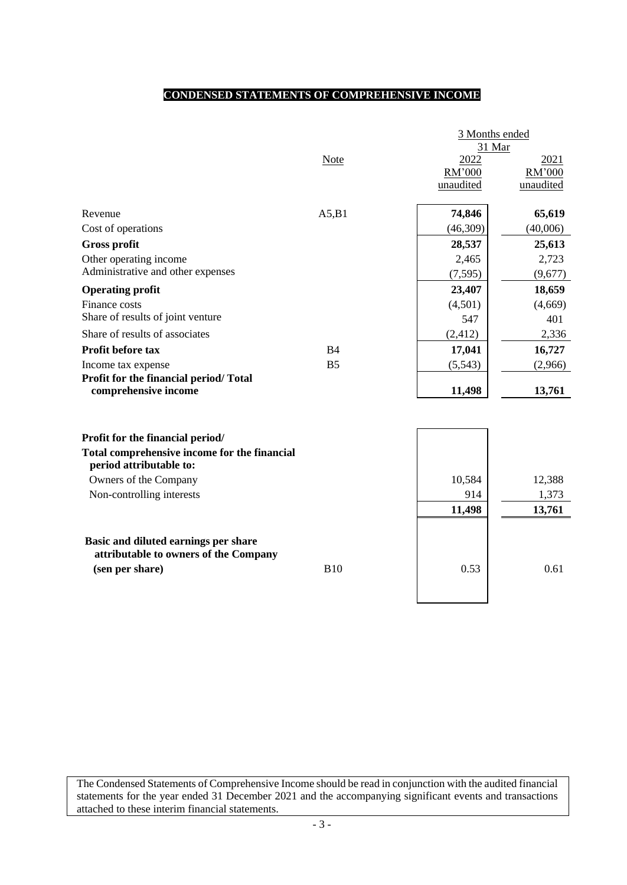### **CONDENSED STATEMENTS OF COMPREHENSIVE INCOME**

|                                                                                  | 3 Months ended<br>31 Mar |                             |                             |  |  |
|----------------------------------------------------------------------------------|--------------------------|-----------------------------|-----------------------------|--|--|
|                                                                                  | <b>Note</b>              | 2022<br>RM'000<br>unaudited | 2021<br>RM'000<br>unaudited |  |  |
| Revenue                                                                          | A5,B1                    | 74,846                      | 65,619                      |  |  |
| Cost of operations                                                               |                          | (46,309)                    | (40,006)                    |  |  |
| <b>Gross profit</b>                                                              |                          | 28,537                      | 25,613                      |  |  |
| Other operating income                                                           |                          | 2,465                       | 2,723                       |  |  |
| Administrative and other expenses                                                |                          | (7, 595)                    | (9,677)                     |  |  |
| <b>Operating profit</b>                                                          |                          | 23,407                      | 18,659                      |  |  |
| Finance costs                                                                    |                          | (4,501)                     | (4,669)                     |  |  |
| Share of results of joint venture                                                |                          | 547                         | 401                         |  |  |
| Share of results of associates                                                   |                          | (2, 412)                    | 2,336                       |  |  |
| Profit before tax                                                                | <b>B4</b>                | 17,041                      | 16,727                      |  |  |
| Income tax expense                                                               | B <sub>5</sub>           | (5,543)                     | (2,966)                     |  |  |
| Profit for the financial period/Total<br>comprehensive income                    |                          | 11,498                      | 13,761                      |  |  |
| Profit for the financial period/<br>Total comprehensive income for the financial |                          |                             |                             |  |  |
| period attributable to:                                                          |                          |                             |                             |  |  |
| Owners of the Company                                                            |                          | 10,584                      | 12,388                      |  |  |
| Non-controlling interests                                                        |                          | 914                         | 1,373                       |  |  |
|                                                                                  |                          | 11,498                      | 13,761                      |  |  |
| Basic and diluted earnings per share<br>attributable to owners of the Company    |                          |                             |                             |  |  |
| (sen per share)                                                                  | <b>B10</b>               | 0.53                        | 0.61                        |  |  |

The Condensed Statements of Comprehensive Income should be read in conjunction with the audited financial statements for the year ended 31 December 2021 and the accompanying significant events and transactions attached to these interim financial statements.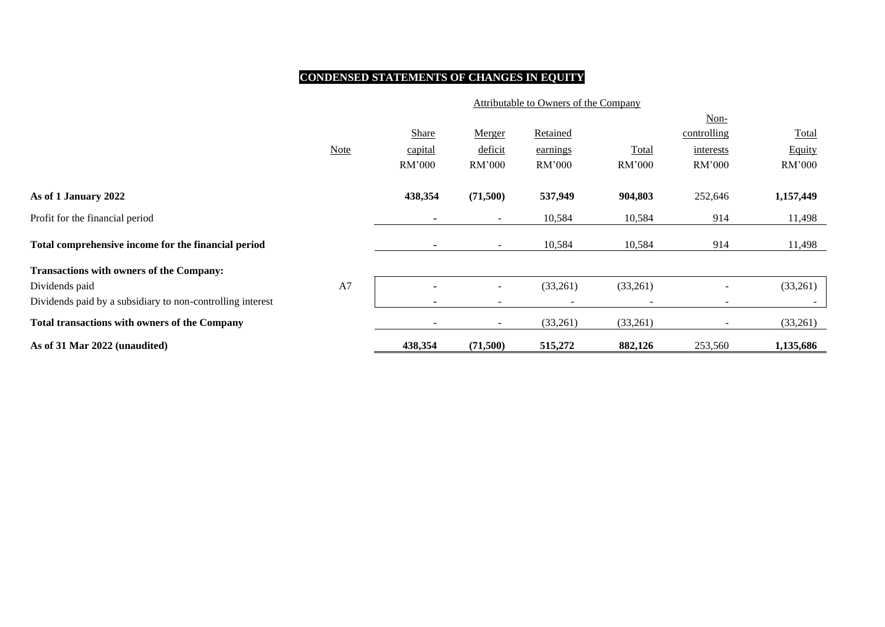# **CONDENSED STATEMENTS OF CHANGES IN EQUITY**

|                                                            | Attributable to Owners of the Company |         |                          |                 |                          |                          |              |  |  |
|------------------------------------------------------------|---------------------------------------|---------|--------------------------|-----------------|--------------------------|--------------------------|--------------|--|--|
|                                                            |                                       |         |                          |                 |                          | $Non-$                   |              |  |  |
|                                                            |                                       | Share   | Merger                   | <b>Retained</b> |                          | controlling              | <b>Total</b> |  |  |
|                                                            | <b>Note</b>                           | capital | deficit                  | earnings        | Total                    | interests                | Equity       |  |  |
|                                                            |                                       | RM'000  | RM'000                   | RM'000          | RM'000                   | RM'000                   | RM'000       |  |  |
| As of 1 January 2022                                       |                                       | 438,354 | (71,500)                 | 537,949         | 904,803                  | 252,646                  | 1,157,449    |  |  |
| Profit for the financial period                            |                                       | ٠       | $\sim$                   | 10,584          | 10,584                   | 914                      | 11,498       |  |  |
| Total comprehensive income for the financial period        |                                       |         | $\sim$                   | 10,584          | 10,584                   | 914                      | 11,498       |  |  |
| <b>Transactions with owners of the Company:</b>            |                                       |         |                          |                 |                          |                          |              |  |  |
| Dividends paid                                             | A7                                    |         |                          | (33,261)        | (33,261)                 |                          | (33,261)     |  |  |
| Dividends paid by a subsidiary to non-controlling interest |                                       | ٠       | $\overline{\phantom{0}}$ |                 | $\overline{\phantom{0}}$ | $\overline{\phantom{a}}$ |              |  |  |
| <b>Total transactions with owners of the Company</b>       |                                       |         | $\sim$                   | (33,261)        | (33,261)                 | $\overline{\phantom{a}}$ | (33,261)     |  |  |
| As of 31 Mar 2022 (unaudited)                              |                                       | 438,354 | (71,500)                 | 515,272         | 882,126                  | 253,560                  | 1,135,686    |  |  |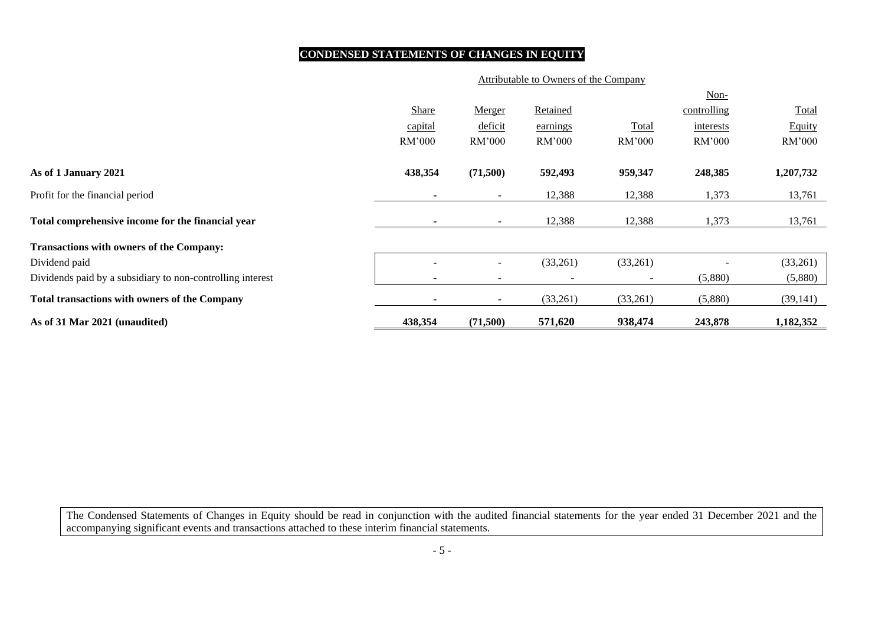## **CONDENSED STATEMENTS OF CHANGES IN EQUITY**

#### Attributable to Owners of the Company

|                                                            |                          |                          |          |                          | Non-        |           |
|------------------------------------------------------------|--------------------------|--------------------------|----------|--------------------------|-------------|-----------|
|                                                            | Share                    | Merger                   | Retained |                          | controlling | Total     |
|                                                            | capital                  | deficit                  | earnings | Total                    | interests   | Equity    |
|                                                            | RM'000                   | RM'000                   | RM'000   | RM'000                   | RM'000      | RM'000    |
| As of 1 January 2021                                       | 438,354                  | (71,500)                 | 592,493  | 959,347                  | 248,385     | 1,207,732 |
| Profit for the financial period                            |                          | $\sim$                   | 12,388   | 12,388                   | 1,373       | 13,761    |
| Total comprehensive income for the financial year          | $\overline{\phantom{a}}$ | $\sim$                   | 12,388   | 12,388                   | 1,373       | 13,761    |
| <b>Transactions with owners of the Company:</b>            |                          |                          |          |                          |             |           |
| Dividend paid                                              |                          | $\sim$                   | (33,261) | (33,261)                 |             | (33,261)  |
| Dividends paid by a subsidiary to non-controlling interest |                          | $\overline{\phantom{a}}$ |          | $\overline{\phantom{a}}$ | (5,880)     | (5,880)   |
| <b>Total transactions with owners of the Company</b>       |                          | $\sim$                   | (33,261) | (33,261)                 | (5,880)     | (39, 141) |
| As of 31 Mar 2021 (unaudited)                              | 438,354                  | (71,500)                 | 571,620  | 938,474                  | 243,878     | 1,182,352 |

The Condensed Statements of Changes in Equity should be read in conjunction with the audited financial statements for the year ended 31 December 2021 and the accompanying significant events and transactions attached to these interim financial statements.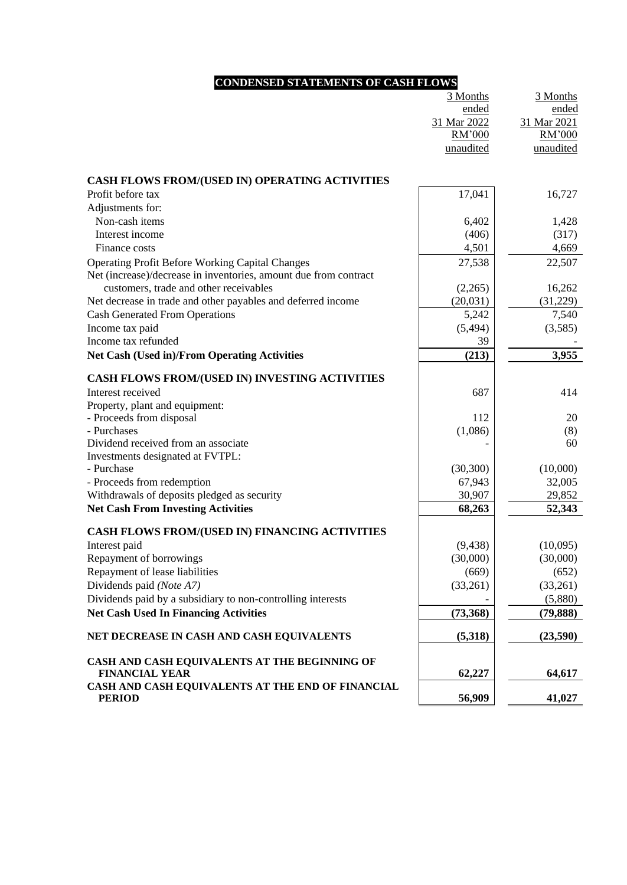# **CONDENSED STATEMENTS OF CASH FLOWS**

|                                                                  | 3 Months    | 3 Months    |
|------------------------------------------------------------------|-------------|-------------|
|                                                                  | ended       | ended       |
|                                                                  | 31 Mar 2022 | 31 Mar 2021 |
|                                                                  | RM'000      | RM'000      |
|                                                                  | unaudited   | unaudited   |
| CASH FLOWS FROM/(USED IN) OPERATING ACTIVITIES                   |             |             |
| Profit before tax                                                | 17,041      | 16,727      |
| Adjustments for:                                                 |             |             |
| Non-cash items                                                   | 6,402       | 1,428       |
| Interest income                                                  | (406)       | (317)       |
| Finance costs                                                    | 4,501       | 4,669       |
| <b>Operating Profit Before Working Capital Changes</b>           | 27,538      | 22,507      |
| Net (increase)/decrease in inventories, amount due from contract |             |             |
| customers, trade and other receivables                           | (2,265)     | 16,262      |
| Net decrease in trade and other payables and deferred income     | (20,031)    | (31,229)    |
| <b>Cash Generated From Operations</b>                            | 5,242       | 7,540       |
| Income tax paid                                                  | (5, 494)    | (3,585)     |
| Income tax refunded                                              | 39          |             |
| <b>Net Cash (Used in)/From Operating Activities</b>              | (213)       | 3,955       |
| CASH FLOWS FROM/(USED IN) INVESTING ACTIVITIES                   |             |             |
| Interest received                                                | 687         | 414         |
| Property, plant and equipment:                                   |             |             |
| - Proceeds from disposal                                         | 112         | 20          |
| - Purchases                                                      | (1,086)     | (8)         |
| Dividend received from an associate                              |             | 60          |
| Investments designated at FVTPL:                                 |             |             |
| - Purchase                                                       | (30, 300)   | (10,000)    |
| - Proceeds from redemption                                       | 67,943      | 32,005      |
| Withdrawals of deposits pledged as security                      | 30,907      | 29,852      |
| <b>Net Cash From Investing Activities</b>                        | 68,263      | 52,343      |
| CASH FLOWS FROM/(USED IN) FINANCING ACTIVITIES                   |             |             |
| Interest paid                                                    | (9, 438)    | (10,095)    |
| Repayment of borrowings                                          | (30,000)    | (30,000)    |
| Repayment of lease liabilities                                   | (669)       | (652)       |
| Dividends paid (Note A7)                                         | (33,261)    | (33,261)    |
| Dividends paid by a subsidiary to non-controlling interests      |             | (5,880)     |
| <b>Net Cash Used In Financing Activities</b>                     | (73,368)    | (79, 888)   |
| NET DECREASE IN CASH AND CASH EQUIVALENTS                        | (5,318)     | (23,590)    |
| CASH AND CASH EQUIVALENTS AT THE BEGINNING OF                    |             |             |
| <b>FINANCIAL YEAR</b>                                            | 62,227      | 64,617      |
| CASH AND CASH EQUIVALENTS AT THE END OF FINANCIAL                |             |             |
| <b>PERIOD</b>                                                    | 56,909      | 41,027      |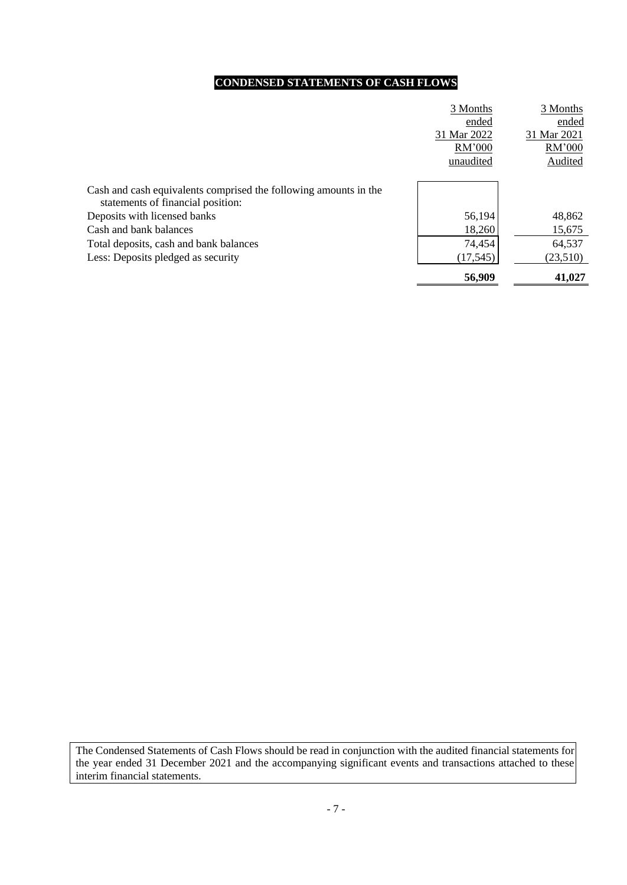# **CONDENSED STATEMENTS OF CASH FLOWS**

|                                                                                                       | 3 Months    | 3 Months    |
|-------------------------------------------------------------------------------------------------------|-------------|-------------|
|                                                                                                       | ended       | ended       |
|                                                                                                       | 31 Mar 2022 | 31 Mar 2021 |
|                                                                                                       | RM'000      | RM'000      |
|                                                                                                       | unaudited   | Audited     |
|                                                                                                       |             |             |
| Cash and cash equivalents comprised the following amounts in the<br>statements of financial position: |             |             |
| Deposits with licensed banks                                                                          | 56,194      | 48,862      |
| Cash and bank balances                                                                                | 18,260      | 15,675      |
| Total deposits, cash and bank balances                                                                | 74,454      | 64,537      |
| Less: Deposits pledged as security                                                                    | (17,545)    | (23,510)    |
|                                                                                                       | 56,909      | 41,027      |

The Condensed Statements of Cash Flows should be read in conjunction with the audited financial statements for the year ended 31 December 2021 and the accompanying significant events and transactions attached to these interim financial statements.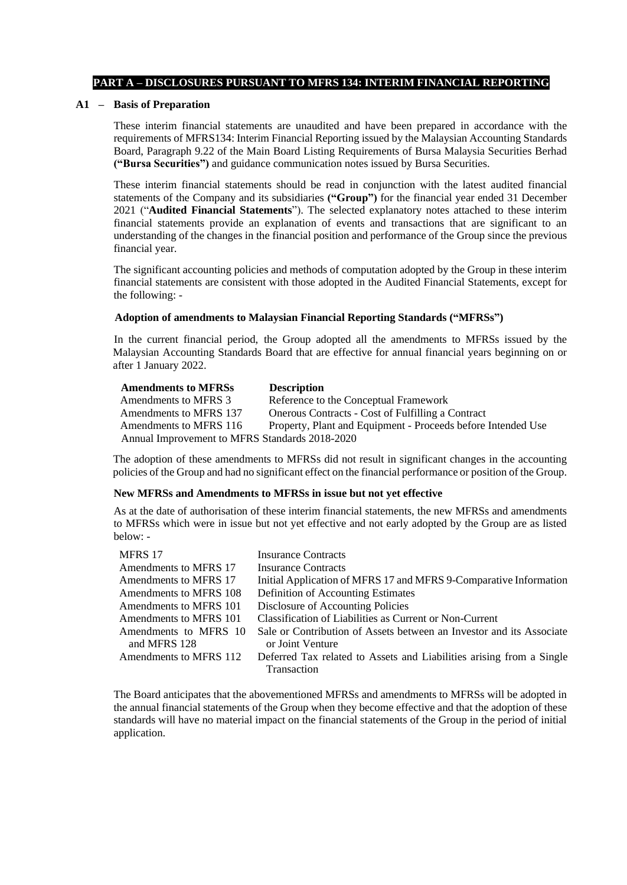#### **PART A – DISCLOSURES PURSUANT TO MFRS 134: INTERIM FINANCIAL REPORTING**

#### **A1 – Basis of Preparation**

These interim financial statements are unaudited and have been prepared in accordance with the requirements of MFRS134: Interim Financial Reporting issued by the Malaysian Accounting Standards Board, Paragraph 9.22 of the Main Board Listing Requirements of Bursa Malaysia Securities Berhad **("Bursa Securities")** and guidance communication notes issued by Bursa Securities.

These interim financial statements should be read in conjunction with the latest audited financial statements of the Company and its subsidiaries **("Group")** for the financial year ended 31 December 2021 ("**Audited Financial Statements**"). The selected explanatory notes attached to these interim financial statements provide an explanation of events and transactions that are significant to an understanding of the changes in the financial position and performance of the Group since the previous financial year.

The significant accounting policies and methods of computation adopted by the Group in these interim financial statements are consistent with those adopted in the Audited Financial Statements, except for the following: -

#### **Adoption of amendments to Malaysian Financial Reporting Standards ("MFRSs")**

In the current financial period, the Group adopted all the amendments to MFRSs issued by the Malaysian Accounting Standards Board that are effective for annual financial years beginning on or after 1 January 2022.

| <b>Amendments to MFRSs</b>                     | <b>Description</b>                                           |  |  |  |  |  |  |
|------------------------------------------------|--------------------------------------------------------------|--|--|--|--|--|--|
| Amendments to MFRS 3                           | Reference to the Conceptual Framework                        |  |  |  |  |  |  |
| Amendments to MFRS 137                         | Onerous Contracts - Cost of Fulfilling a Contract            |  |  |  |  |  |  |
| Amendments to MFRS 116                         | Property, Plant and Equipment - Proceeds before Intended Use |  |  |  |  |  |  |
| Annual Improvement to MFRS Standards 2018-2020 |                                                              |  |  |  |  |  |  |

The adoption of these amendments to MFRSs did not result in significant changes in the accounting policies of the Group and had no significant effect on the financial performance or position of the Group.

#### **New MFRSs and Amendments to MFRSs in issue but not yet effective**

As at the date of authorisation of these interim financial statements, the new MFRSs and amendments to MFRSs which were in issue but not yet effective and not early adopted by the Group are as listed below: -

| MFRS 17                | <b>Insurance Contracts</b>                                           |
|------------------------|----------------------------------------------------------------------|
| Amendments to MFRS 17  | <b>Insurance Contracts</b>                                           |
| Amendments to MFRS 17  | Initial Application of MFRS 17 and MFRS 9-Comparative Information    |
| Amendments to MFRS 108 | Definition of Accounting Estimates                                   |
| Amendments to MFRS 101 | Disclosure of Accounting Policies                                    |
| Amendments to MFRS 101 | Classification of Liabilities as Current or Non-Current              |
| Amendments to MFRS 10  | Sale or Contribution of Assets between an Investor and its Associate |
| and MFRS 128           | or Joint Venture                                                     |
| Amendments to MFRS 112 | Deferred Tax related to Assets and Liabilities arising from a Single |
|                        | <b>Transaction</b>                                                   |

The Board anticipates that the abovementioned MFRSs and amendments to MFRSs will be adopted in the annual financial statements of the Group when they become effective and that the adoption of these standards will have no material impact on the financial statements of the Group in the period of initial application.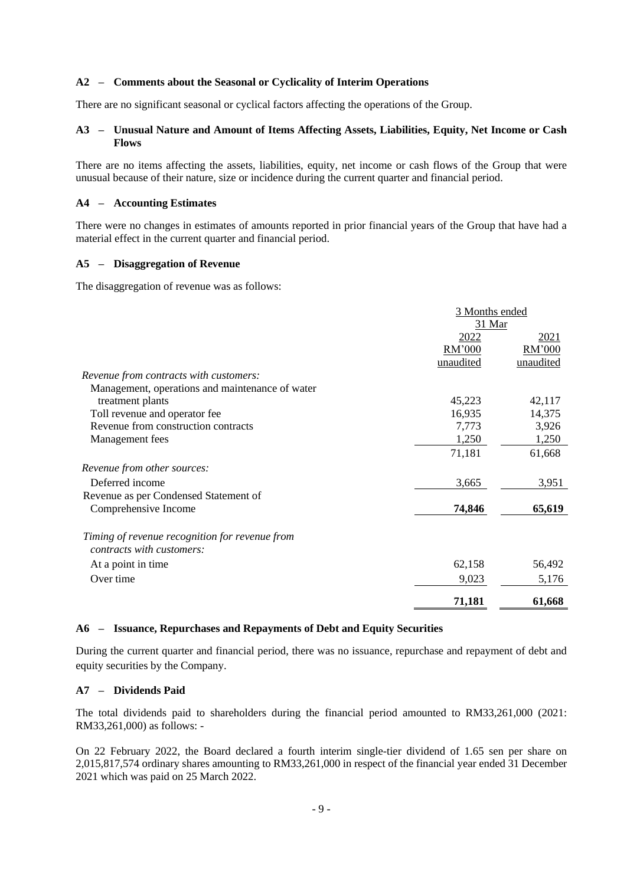#### **A2 – Comments about the Seasonal or Cyclicality of Interim Operations**

There are no significant seasonal or cyclical factors affecting the operations of the Group.

#### **A3 – Unusual Nature and Amount of Items Affecting Assets, Liabilities, Equity, Net Income or Cash Flows**

There are no items affecting the assets, liabilities, equity, net income or cash flows of the Group that were unusual because of their nature, size or incidence during the current quarter and financial period.

#### **A4 – Accounting Estimates**

There were no changes in estimates of amounts reported in prior financial years of the Group that have had a material effect in the current quarter and financial period.

### **A5 – Disaggregation of Revenue**

The disaggregation of revenue was as follows:

|                                                 | 3 Months ended |           |  |  |
|-------------------------------------------------|----------------|-----------|--|--|
|                                                 | 31 Mar         |           |  |  |
|                                                 | <u> 2022 </u>  | 2021      |  |  |
|                                                 | RM'000         | RM'000    |  |  |
|                                                 | unaudited      | unaudited |  |  |
| Revenue from contracts with customers:          |                |           |  |  |
| Management, operations and maintenance of water |                |           |  |  |
| treatment plants                                | 45,223         | 42,117    |  |  |
| Toll revenue and operator fee                   | 16,935         | 14,375    |  |  |
| Revenue from construction contracts             | 7,773          | 3,926     |  |  |
| Management fees                                 | 1,250          | 1,250     |  |  |
|                                                 | 71,181         | 61,668    |  |  |
| Revenue from other sources:                     |                |           |  |  |
| Deferred income                                 | 3,665          | 3,951     |  |  |
| Revenue as per Condensed Statement of           |                |           |  |  |
| Comprehensive Income                            | 74,846         | 65,619    |  |  |
| Timing of revenue recognition for revenue from  |                |           |  |  |
| contracts with customers:                       |                |           |  |  |
| At a point in time                              | 62,158         | 56,492    |  |  |
| Over time                                       | 9,023          | 5,176     |  |  |
|                                                 | 71,181         | 61,668    |  |  |

#### **A6 – Issuance, Repurchases and Repayments of Debt and Equity Securities**

During the current quarter and financial period, there was no issuance, repurchase and repayment of debt and equity securities by the Company.

#### **A7 – Dividends Paid**

The total dividends paid to shareholders during the financial period amounted to RM33,261,000 (2021: RM33,261,000) as follows: -

On 22 February 2022, the Board declared a fourth interim single-tier dividend of 1.65 sen per share on 2,015,817,574 ordinary shares amounting to RM33,261,000 in respect of the financial year ended 31 December 2021 which was paid on 25 March 2022.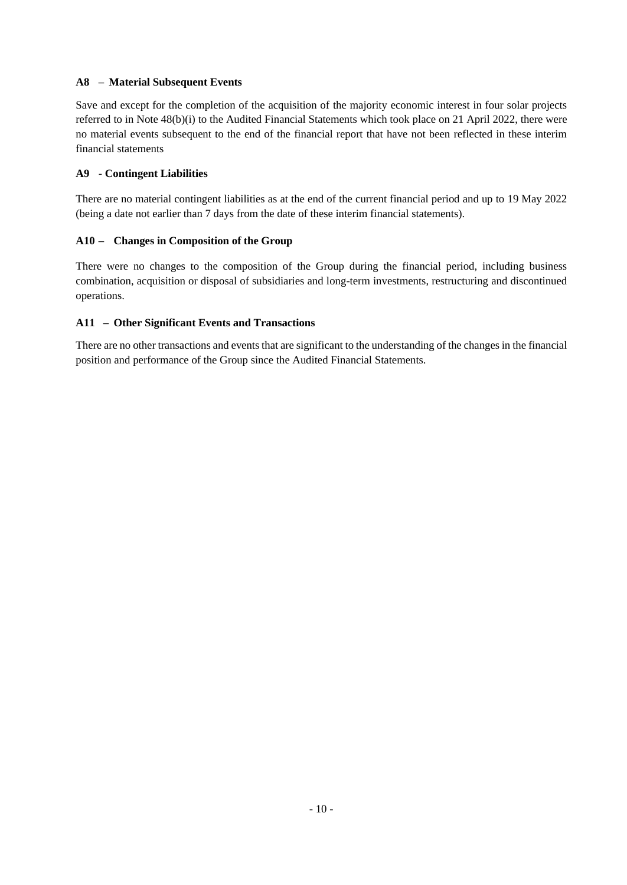### **A8 – Material Subsequent Events**

Save and except for the completion of the acquisition of the majority economic interest in four solar projects referred to in Note 48(b)(i) to the Audited Financial Statements which took place on 21 April 2022, there were no material events subsequent to the end of the financial report that have not been reflected in these interim financial statements

### **A9 - Contingent Liabilities**

There are no material contingent liabilities as at the end of the current financial period and up to 19 May 2022 (being a date not earlier than 7 days from the date of these interim financial statements).

### **A10 – Changes in Composition of the Group**

There were no changes to the composition of the Group during the financial period, including business combination, acquisition or disposal of subsidiaries and long-term investments, restructuring and discontinued operations.

### **A11 – Other Significant Events and Transactions**

There are no other transactions and events that are significant to the understanding of the changes in the financial position and performance of the Group since the Audited Financial Statements.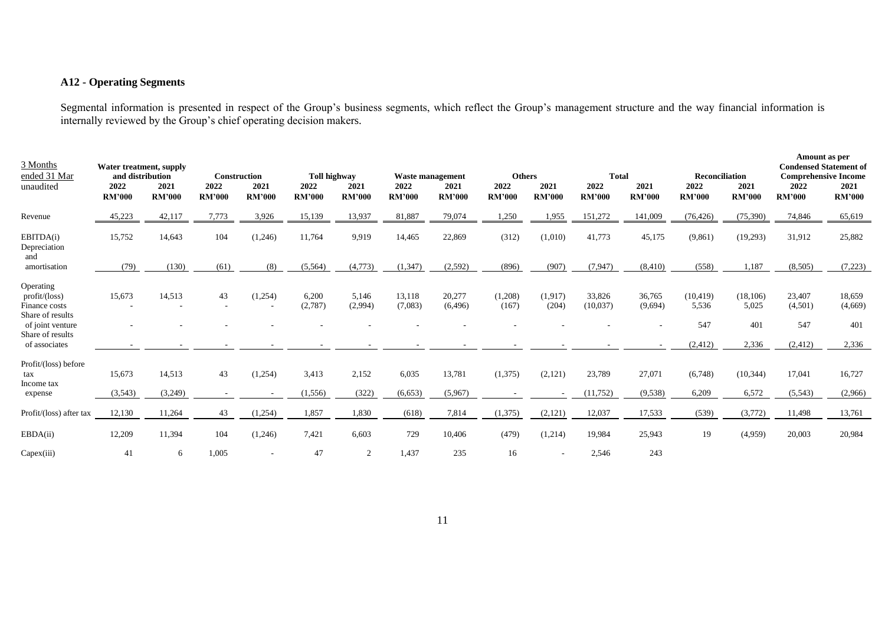## **A12 - Operating Segments**

Segmental information is presented in respect of the Group's business segments, which reflect the Group's management structure and the way financial information is internally reviewed by the Group's chief operating decision makers.

| 3 Months<br>ended 31 Mar<br>unaudited                                                                                   | and distribution<br>2022<br><b>RM'000</b> | Water treatment, supply<br>2021<br><b>RM'000</b> | 2022<br><b>RM'000</b> | <b>Construction</b><br>2021<br><b>RM'000</b> | <b>Toll highway</b><br>2022<br><b>RM'000</b> | 2021<br><b>RM'000</b> | <b>Waste management</b><br>2022<br><b>RM'000</b> | 2021<br><b>RM'000</b> | <b>Others</b><br>2022<br><b>RM'000</b> | 2021<br><b>RM'000</b> | <b>Total</b><br>2022<br><b>RM'000</b> | 2021<br><b>RM'000</b> | <b>Reconciliation</b><br>2022<br><b>RM'000</b> | 2021<br><b>RM'000</b>              | 2022<br><b>RM'000</b>                | Amount as per<br><b>Condensed Statement of</b><br><b>Comprehensive Income</b><br>2021<br><b>RM'000</b> |
|-------------------------------------------------------------------------------------------------------------------------|-------------------------------------------|--------------------------------------------------|-----------------------|----------------------------------------------|----------------------------------------------|-----------------------|--------------------------------------------------|-----------------------|----------------------------------------|-----------------------|---------------------------------------|-----------------------|------------------------------------------------|------------------------------------|--------------------------------------|--------------------------------------------------------------------------------------------------------|
| Revenue                                                                                                                 | 45,223                                    | 42,117                                           | 7,773                 | 3,926                                        | 15,139                                       | 13,937                | 81,887                                           | 79,074                | 1,250                                  | 1,955                 | 151,272                               | 141,009               | (76, 426)                                      | (75,390)                           | 74,846                               | 65,619                                                                                                 |
| EBITDA(i)<br>Depreciation<br>and                                                                                        | 15,752                                    | 14,643                                           | 104                   | (1,246)                                      | 11,764                                       | 9,919                 | 14,465                                           | 22,869                | (312)                                  | (1,010)               | 41,773                                | 45,175                | (9, 861)                                       | (19,293)                           | 31,912                               | 25,882                                                                                                 |
| amortisation                                                                                                            | (79)                                      | (130)                                            | (61)                  | (8)                                          | (5,564)                                      | (4,773)               | (1, 347)                                         | (2,592)               | (896)                                  | (907)                 | (7, 947)                              | (8, 410)              | (558)                                          | 1,187                              | (8,505)                              | (7,223)                                                                                                |
| Operating<br>profit/loss)<br>Finance costs<br>Share of results<br>of joint venture<br>Share of results<br>of associates | 15,673                                    | 14,513                                           | 43                    | (1,254)                                      | 6,200<br>(2,787)                             | 5,146<br>(2,994)      | 13,118<br>(7,083)                                | 20,277<br>(6, 496)    | (1,208)<br>(167)                       | (1,917)<br>(204)      | 33,826<br>(10,037)                    | 36,765<br>(9,694)     | (10, 419)<br>5,536<br>547<br>(2, 412)          | (18, 106)<br>5,025<br>401<br>2,336 | 23,407<br>(4,501)<br>547<br>(2, 412) | 18,659<br>(4,669)<br>401<br>2,336                                                                      |
| Profit/(loss) before<br>tax<br>Income tax<br>expense                                                                    | 15,673<br>(3,543)                         | 14,513<br>(3,249)                                | 43                    | (1,254)                                      | 3,413<br>(1, 556)                            | 2,152<br>(322)        | 6,035<br>(6, 653)                                | 13,781<br>(5,967)     | (1,375)                                | (2,121)               | 23,789<br>(11, 752)                   | 27,071<br>(9,538)     | (6,748)<br>6,209                               | (10, 344)<br>6,572                 | 17,041<br>(5, 543)                   | 16,727<br>(2,966)                                                                                      |
| Profit/(loss) after tax                                                                                                 | 12,130                                    | 11,264                                           | 43                    | (1,254)                                      | 1,857                                        | 1,830                 | (618)                                            | 7,814                 | (1,375)                                | (2,121)               | 12,037                                | 17,533                | (539)                                          | (3,772)                            | 11,498                               | 13,761                                                                                                 |
| EBDA(ii)                                                                                                                | 12,209                                    | 11,394                                           | 104                   | (1,246)                                      | 7,421                                        | 6,603                 | 729                                              | 10,406                | (479)                                  | (1,214)               | 19,984                                | 25,943                | 19                                             | (4,959)                            | 20,003                               | 20,984                                                                                                 |
| Capex(iii)                                                                                                              | 41                                        | 6                                                | 1,005                 |                                              | 47                                           | 2                     | 1,437                                            | 235                   | 16                                     |                       | 2,546                                 | 243                   |                                                |                                    |                                      |                                                                                                        |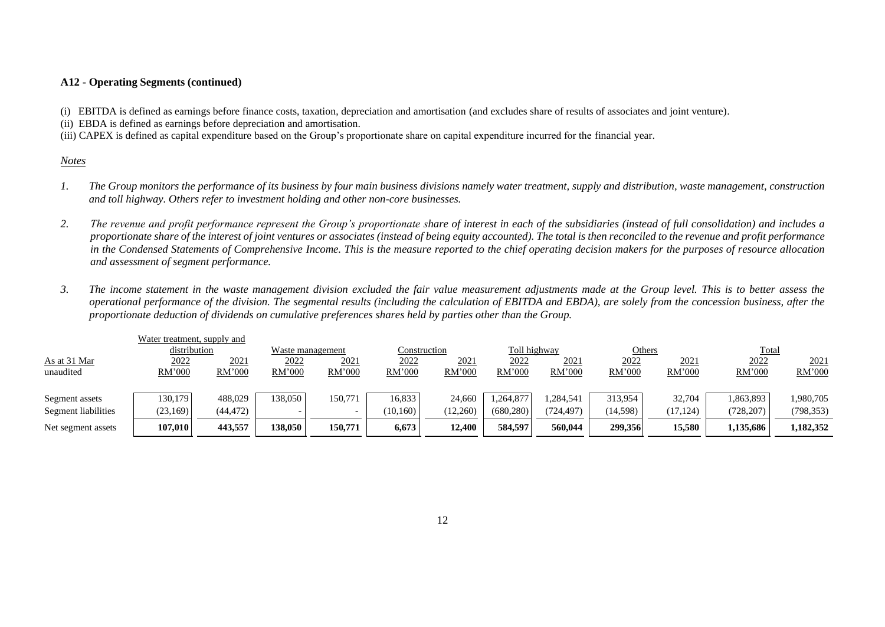### **A12 - Operating Segments (continued)**

(i) EBITDA is defined as earnings before finance costs, taxation, depreciation and amortisation (and excludes share of results of associates and joint venture).

(ii) EBDA is defined as earnings before depreciation and amortisation.

(iii) CAPEX is defined as capital expenditure based on the Group's proportionate share on capital expenditure incurred for the financial year.

#### *Notes*

- *1.* The Group monitors the performance of its business by four main business divisions namely water treatment, supply and distribution, waste management, construction *and toll highway. Others refer to investment holding and other non-core businesses.*
- *2. The revenue and profit performance represent the Group's proportionate share of interest in each of the subsidiaries (instead of full consolidation) and includes a proportionate share of the interest of joint ventures or associates (instead of being equity accounted). The total is then reconciled to the revenue and profit performance in the Condensed Statements of Comprehensive Income. This is the measure reported to the chief operating decision makers for the purposes of resource allocation and assessment of segment performance.*
- *3. The income statement in the waste management division excluded the fair value measurement adjustments made at the Group level. This is to better assess the operational performance of the division. The segmental results (including the calculation of EBITDA and EBDA), are solely from the concession business, after the proportionate deduction of dividends on cumulative preferences shares held by parties other than the Group.*

|                     | Water treatment, supply and |              |         |                  |               |              |               |              |         |               |              |            |
|---------------------|-----------------------------|--------------|---------|------------------|---------------|--------------|---------------|--------------|---------|---------------|--------------|------------|
|                     | distribution                |              |         | Waste management |               | Construction |               | Toll highway |         | <b>Others</b> | <b>Total</b> |            |
| As at 31 Mar        | 2022                        | <u> 2021</u> | 2022    | <u> 2021</u>     | <u> 2022 </u> | 2021         | <u> 2022 </u> | 2021         | 2022    | 2021          | 2022         | 202        |
| unaudited           | <b>RM'000</b>               | RM'000       | RM'000  | RM'000           | RM'000        | RM'000       | RM'000        | RM'000       | RM'000  | RM'000        | RM'000       | RM'000     |
|                     |                             |              |         |                  |               |              |               |              |         |               |              |            |
| Segment assets      | 130,179                     | 488.029      | 138,050 | 150.771          | 16.833        | 24.660       | ,264,877      | .284,541     | 313.954 | 32,704        | 1,863,893    | 1,980,705  |
| Segment liabilities | (23, 169)                   | (44, 472)    |         |                  | (10.160)      | (12,260)     | (680, 280)    | (724.497)    | 14,598) | (17, 124)     | (728, 207)   | (798, 353) |
| Net segment assets  | 107.010                     | 443,557      | 138,050 | 150,771          | 6.673         | 12.400       | 584.597       | 560,044      | 299,356 | 15.580        | 1,135,686    | 1,182,352  |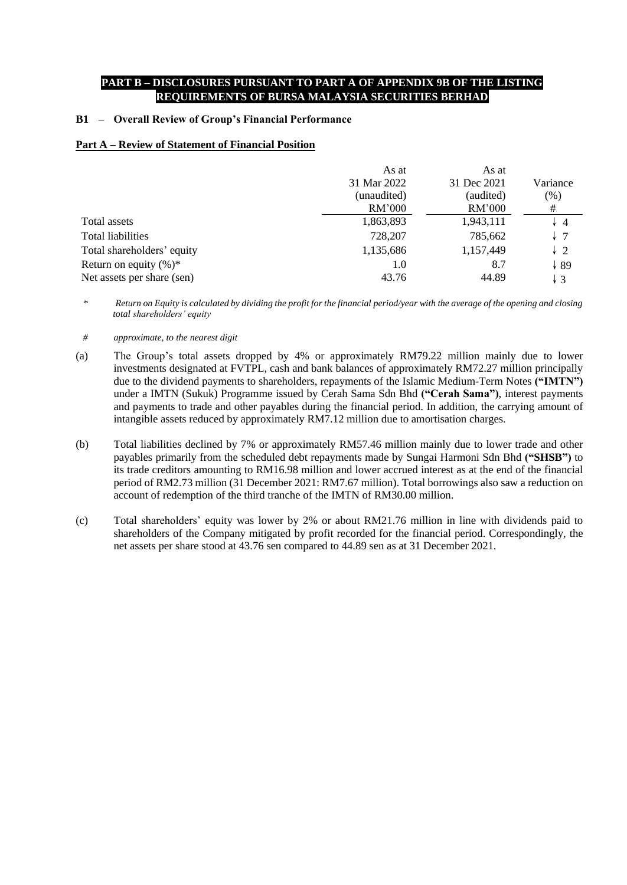### **PART B – DISCLOSURES PURSUANT TO PART A OF APPENDIX 9B OF THE LISTING REQUIREMENTS OF BURSA MALAYSIA SECURITIES BERHAD**

### **B1 – Overall Review of Group's Financial Performance**

### **Part A – Review of Statement of Financial Position**

|                            | As at       | As at       |                |
|----------------------------|-------------|-------------|----------------|
|                            | 31 Mar 2022 | 31 Dec 2021 | Variance       |
|                            | (unaudited) | (audited)   | (% )           |
|                            | RM'000      | RM'000      | #              |
| Total assets               | 1,863,893   | 1,943,111   | $\overline{4}$ |
| <b>Total liabilities</b>   | 728,207     | 785,662     | l 7            |
| Total shareholders' equity | 1,135,686   | 1,157,449   | $\frac{1}{2}$  |
| Return on equity $(\%)^*$  | 1.0         | 8.7         | ↓89            |
| Net assets per share (sen) | 43.76       | 44.89       | $\downarrow$ 3 |

*\* Return on Equity is calculated by dividing the profit for the financial period/year with the average of the opening and closing total shareholders' equity*

- *# approximate, to the nearest digit*
- (a) The Group's total assets dropped by 4% or approximately RM79.22 million mainly due to lower investments designated at FVTPL, cash and bank balances of approximately RM72.27 million principally due to the dividend payments to shareholders, repayments of the Islamic Medium-Term Notes **("IMTN")** under a IMTN (Sukuk) Programme issued by Cerah Sama Sdn Bhd **("Cerah Sama")**, interest payments and payments to trade and other payables during the financial period. In addition, the carrying amount of intangible assets reduced by approximately RM7.12 million due to amortisation charges.
- (b) Total liabilities declined by 7% or approximately RM57.46 million mainly due to lower trade and other payables primarily from the scheduled debt repayments made by Sungai Harmoni Sdn Bhd **("SHSB")** to its trade creditors amounting to RM16.98 million and lower accrued interest as at the end of the financial period of RM2.73 million (31 December 2021: RM7.67 million). Total borrowings also saw a reduction on account of redemption of the third tranche of the IMTN of RM30.00 million.
- (c) Total shareholders' equity was lower by 2% or about RM21.76 million in line with dividends paid to shareholders of the Company mitigated by profit recorded for the financial period. Correspondingly, the net assets per share stood at 43.76 sen compared to 44.89 sen as at 31 December 2021.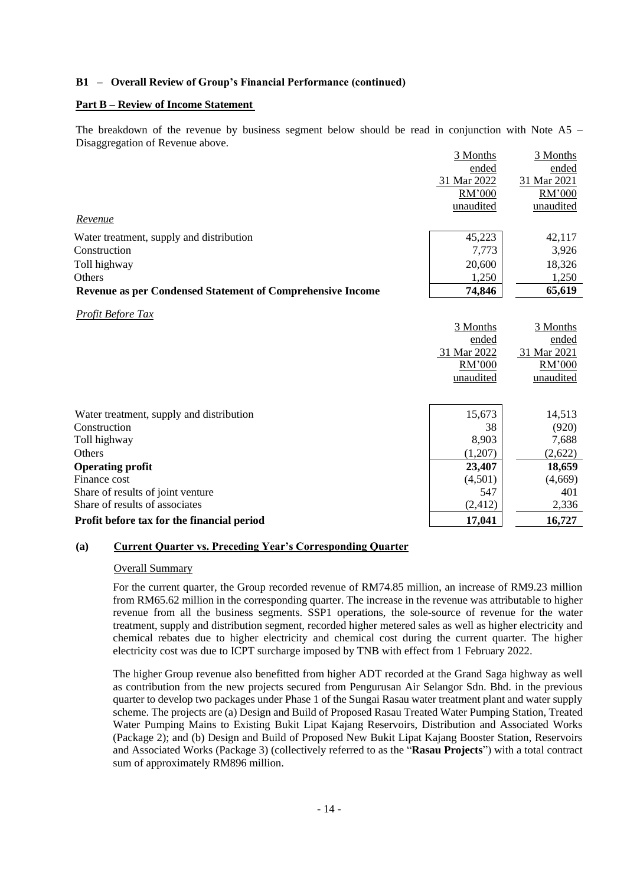#### **Part B – Review of Income Statement**

The breakdown of the revenue by business segment below should be read in conjunction with Note A5 – Disaggregation of Revenue above. 3 Months

|                                                            | 3 Months    | 3 Months    |
|------------------------------------------------------------|-------------|-------------|
|                                                            | ended       | ended       |
|                                                            | 31 Mar 2022 | 31 Mar 2021 |
|                                                            | RM'000      | RM'000      |
|                                                            | unaudited   | unaudited   |
| Revenue                                                    |             |             |
| Water treatment, supply and distribution                   | 45,223      | 42,117      |
| Construction                                               | 7,773       | 3,926       |
| Toll highway                                               | 20,600      | 18,326      |
| Others                                                     | 1,250       | 1,250       |
| Revenue as per Condensed Statement of Comprehensive Income | 74,846      | 65,619      |
| <b>Profit Before Tax</b>                                   |             |             |
|                                                            | 3 Months    | 3 Months    |
|                                                            | ended       | ended       |
|                                                            | 31 Mar 2022 | 31 Mar 2021 |
|                                                            | RM'000      | RM'000      |
|                                                            | unaudited   | unaudited   |
|                                                            |             |             |
| Water treatment, supply and distribution                   | 15,673      | 14,513      |
| Construction                                               | 38          | (920)       |
| Toll highway                                               | 8,903       | 7,688       |
| Others                                                     | (1,207)     | (2,622)     |
| <b>Operating profit</b>                                    | 23,407      | 18,659      |
| Finance cost                                               | (4,501)     | (4,669)     |
| Share of results of joint venture                          | 547         | 401         |
| Share of results of associates                             | (2, 412)    | 2,336       |
| Profit before tax for the financial period                 | 17,041      | 16,727      |

#### **(a) Current Quarter vs. Preceding Year's Corresponding Quarter**

#### Overall Summary

For the current quarter, the Group recorded revenue of RM74.85 million, an increase of RM9.23 million from RM65.62 million in the corresponding quarter. The increase in the revenue was attributable to higher revenue from all the business segments. SSP1 operations, the sole-source of revenue for the water treatment, supply and distribution segment, recorded higher metered sales as well as higher electricity and chemical rebates due to higher electricity and chemical cost during the current quarter. The higher electricity cost was due to ICPT surcharge imposed by TNB with effect from 1 February 2022.

The higher Group revenue also benefitted from higher ADT recorded at the Grand Saga highway as well as contribution from the new projects secured from Pengurusan Air Selangor Sdn. Bhd. in the previous quarter to develop two packages under Phase 1 of the Sungai Rasau water treatment plant and water supply scheme. The projects are (a) Design and Build of Proposed Rasau Treated Water Pumping Station, Treated Water Pumping Mains to Existing Bukit Lipat Kajang Reservoirs, Distribution and Associated Works (Package 2); and (b) Design and Build of Proposed New Bukit Lipat Kajang Booster Station, Reservoirs and Associated Works (Package 3) (collectively referred to as the "**Rasau Projects**") with a total contract sum of approximately RM896 million.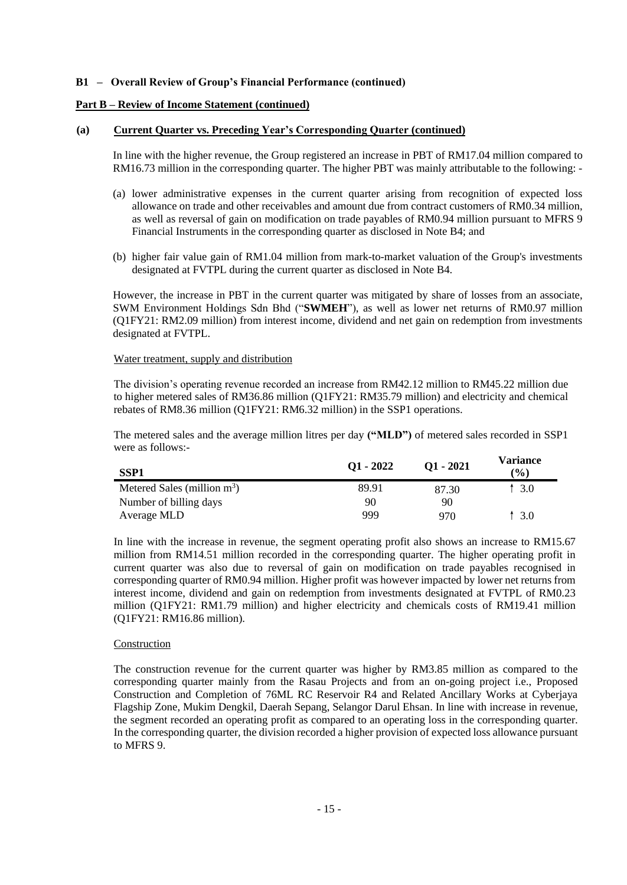#### **Part B – Review of Income Statement (continued)**

#### **(a) Current Quarter vs. Preceding Year's Corresponding Quarter (continued)**

In line with the higher revenue, the Group registered an increase in PBT of RM17.04 million compared to RM16.73 million in the corresponding quarter. The higher PBT was mainly attributable to the following: -

- (a) lower administrative expenses in the current quarter arising from recognition of expected loss allowance on trade and other receivables and amount due from contract customers of RM0.34 million, as well as reversal of gain on modification on trade payables of RM0.94 million pursuant to MFRS 9 Financial Instruments in the corresponding quarter as disclosed in Note B4; and
- (b) higher fair value gain of RM1.04 million from mark-to-market valuation of the Group's investments designated at FVTPL during the current quarter as disclosed in Note B4.

However, the increase in PBT in the current quarter was mitigated by share of losses from an associate, SWM Environment Holdings Sdn Bhd ("**SWMEH**"), as well as lower net returns of RM0.97 million (Q1FY21: RM2.09 million) from interest income, dividend and net gain on redemption from investments designated at FVTPL.

#### Water treatment, supply and distribution

The division's operating revenue recorded an increase from RM42.12 million to RM45.22 million due to higher metered sales of RM36.86 million (Q1FY21: RM35.79 million) and electricity and chemical rebates of RM8.36 million (Q1FY21: RM6.32 million) in the SSP1 operations.

The metered sales and the average million litres per day **("MLD")** of metered sales recorded in SSP1 were as follows:-

| SSP1                           | $Q1 - 2022$ | $O1 - 2021$ | Variance<br>$($ %) |
|--------------------------------|-------------|-------------|--------------------|
| Metered Sales (million $m^3$ ) | 89.91       | 87.30       | 3.0                |
| Number of billing days         | 90          | 90          |                    |
| Average MLD                    | 999         | 970         | 13.0               |

In line with the increase in revenue, the segment operating profit also shows an increase to RM15.67 million from RM14.51 million recorded in the corresponding quarter. The higher operating profit in current quarter was also due to reversal of gain on modification on trade payables recognised in corresponding quarter of RM0.94 million. Higher profit was however impacted by lower net returns from interest income, dividend and gain on redemption from investments designated at FVTPL of RM0.23 million (Q1FY21: RM1.79 million) and higher electricity and chemicals costs of RM19.41 million (Q1FY21: RM16.86 million).

#### Construction

The construction revenue for the current quarter was higher by RM3.85 million as compared to the corresponding quarter mainly from the Rasau Projects and from an on-going project i.e., Proposed Construction and Completion of 76ML RC Reservoir R4 and Related Ancillary Works at Cyberjaya Flagship Zone, Mukim Dengkil, Daerah Sepang, Selangor Darul Ehsan. In line with increase in revenue, the segment recorded an operating profit as compared to an operating loss in the corresponding quarter. In the corresponding quarter, the division recorded a higher provision of expected loss allowance pursuant to MFRS 9.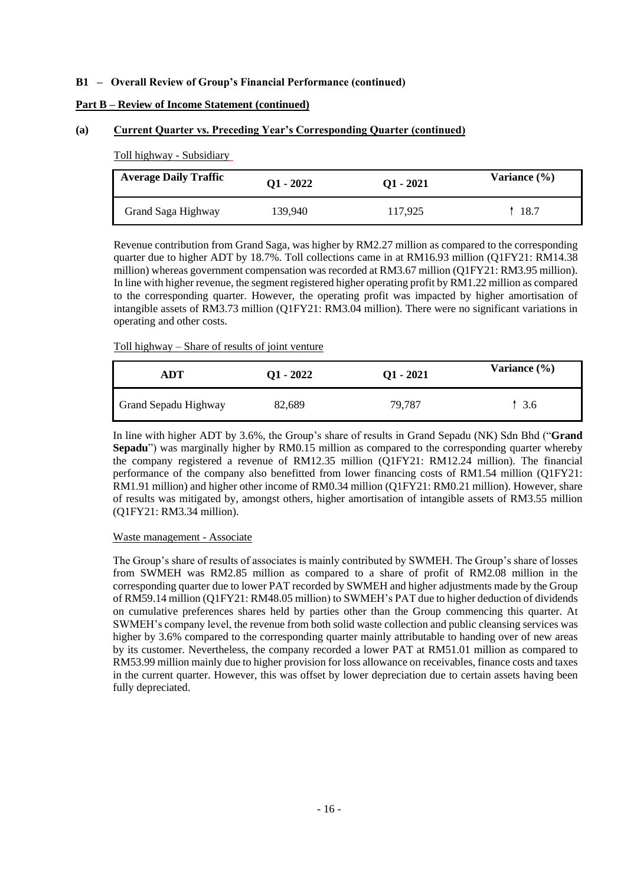### **Part B – Review of Income Statement (continued)**

#### **(a) Current Quarter vs. Preceding Year's Corresponding Quarter (continued)**

Toll highway - Subsidiary

| <b>Average Daily Traffic</b> | $Q1 - 2022$ | $Q1 - 2021$ | Variance $(\% )$ |
|------------------------------|-------------|-------------|------------------|
| Grand Saga Highway           | 139,940     | 117.925     | 18.7             |

Revenue contribution from Grand Saga, was higher by RM2.27 million as compared to the corresponding quarter due to higher ADT by 18.7%. Toll collections came in at RM16.93 million (Q1FY21: RM14.38 million) whereas government compensation was recorded at RM3.67 million (Q1FY21: RM3.95 million). In line with higher revenue, the segment registered higher operating profit by RM1.22 million as compared to the corresponding quarter. However, the operating profit was impacted by higher amortisation of intangible assets of RM3.73 million (Q1FY21: RM3.04 million). There were no significant variations in operating and other costs.

#### Toll highway – Share of results of joint venture

| ADT                  | $Q1 - 2022$ | $Q1 - 2021$ | Variance $(\% )$ |
|----------------------|-------------|-------------|------------------|
| Grand Sepadu Highway | 82,689      | 79.787      | -3.6             |

In line with higher ADT by 3.6%, the Group's share of results in Grand Sepadu (NK) Sdn Bhd ("**Grand Sepadu**") was marginally higher by RM0.15 million as compared to the corresponding quarter whereby the company registered a revenue of RM12.35 million (Q1FY21: RM12.24 million). The financial performance of the company also benefitted from lower financing costs of RM1.54 million (Q1FY21: RM1.91 million) and higher other income of RM0.34 million (Q1FY21: RM0.21 million). However, share of results was mitigated by, amongst others, higher amortisation of intangible assets of RM3.55 million (Q1FY21: RM3.34 million).

#### Waste management - Associate

The Group's share of results of associates is mainly contributed by SWMEH. The Group's share of losses from SWMEH was RM2.85 million as compared to a share of profit of RM2.08 million in the corresponding quarter due to lower PAT recorded by SWMEH and higher adjustments made by the Group of RM59.14 million (Q1FY21: RM48.05 million) to SWMEH's PAT due to higher deduction of dividends on cumulative preferences shares held by parties other than the Group commencing this quarter. At SWMEH's company level, the revenue from both solid waste collection and public cleansing services was higher by 3.6% compared to the corresponding quarter mainly attributable to handing over of new areas by its customer. Nevertheless, the company recorded a lower PAT at RM51.01 million as compared to RM53.99 million mainly due to higher provision for loss allowance on receivables, finance costs and taxes in the current quarter. However, this was offset by lower depreciation due to certain assets having been fully depreciated.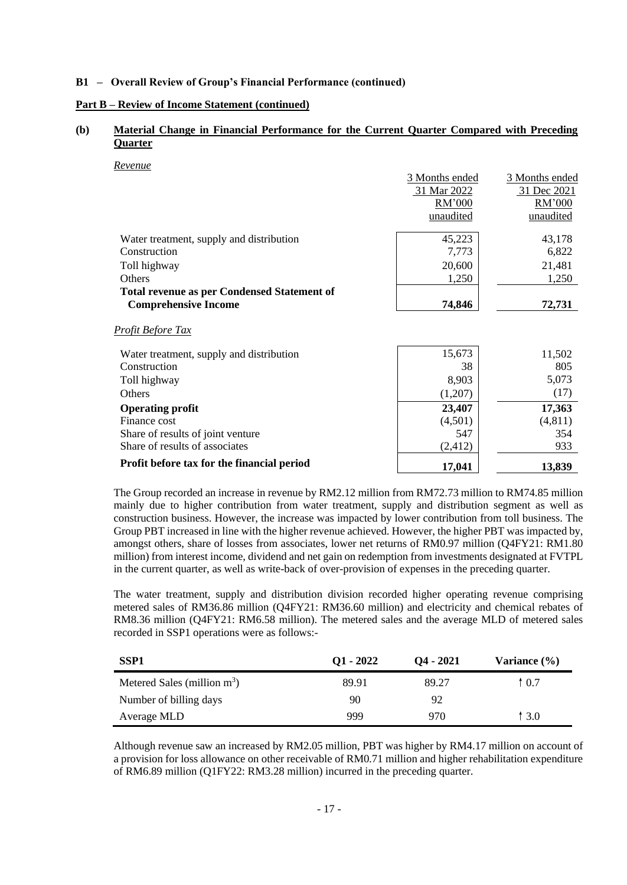#### **Part B – Review of Income Statement (continued)**

### **(b) Material Change in Financial Performance for the Current Quarter Compared with Preceding Quarter**

*Revenue*

|                                                    | 3 Months ended | 3 Months ended |
|----------------------------------------------------|----------------|----------------|
|                                                    | 31 Mar 2022    | 31 Dec 2021    |
|                                                    | RM'000         | RM'000         |
|                                                    | unaudited      | unaudited      |
| Water treatment, supply and distribution           | 45,223         | 43,178         |
| Construction                                       | 7,773          | 6,822          |
| Toll highway                                       | 20,600         | 21,481         |
| <b>Others</b>                                      | 1,250          | 1,250          |
| <b>Total revenue as per Condensed Statement of</b> |                |                |
| <b>Comprehensive Income</b>                        | 74,846         | 72,731         |
| <u>Profit Before Tax</u>                           |                |                |
| Water treatment, supply and distribution           | 15,673         | 11,502         |
| Construction                                       | 38             | 805            |
| Toll highway                                       | 8,903          | 5,073          |
| Others                                             | (1,207)        | (17)           |
| <b>Operating profit</b>                            | 23,407         | 17,363         |
| Finance cost                                       | (4,501)        | (4, 811)       |
| Share of results of joint venture                  | 547            | 354            |
| Share of results of associates                     | (2, 412)       | 933            |
| Profit before tax for the financial period         | 17,041         | 13,839         |

The Group recorded an increase in revenue by RM2.12 million from RM72.73 million to RM74.85 million mainly due to higher contribution from water treatment, supply and distribution segment as well as construction business. However, the increase was impacted by lower contribution from toll business. The Group PBT increased in line with the higher revenue achieved. However, the higher PBT was impacted by, amongst others, share of losses from associates, lower net returns of RM0.97 million (Q4FY21: RM1.80 million) from interest income, dividend and net gain on redemption from investments designated at FVTPL in the current quarter, as well as write-back of over-provision of expenses in the preceding quarter.

The water treatment, supply and distribution division recorded higher operating revenue comprising metered sales of RM36.86 million (Q4FY21: RM36.60 million) and electricity and chemical rebates of RM8.36 million (Q4FY21: RM6.58 million). The metered sales and the average MLD of metered sales recorded in SSP1 operations were as follows:-

| SSP <sub>1</sub>               | $Q1 - 2022$ | $O4 - 2021$ | Variance $(\% )$ |
|--------------------------------|-------------|-------------|------------------|
| Metered Sales (million $m^3$ ) | 89.91       | 89.27       | $\uparrow$ 0.7   |
| Number of billing days         | 90          | 92          |                  |
| Average MLD                    | 999         | 970         | 13.0             |

Although revenue saw an increased by RM2.05 million, PBT was higher by RM4.17 million on account of a provision for loss allowance on other receivable of RM0.71 million and higher rehabilitation expenditure of RM6.89 million (Q1FY22: RM3.28 million) incurred in the preceding quarter.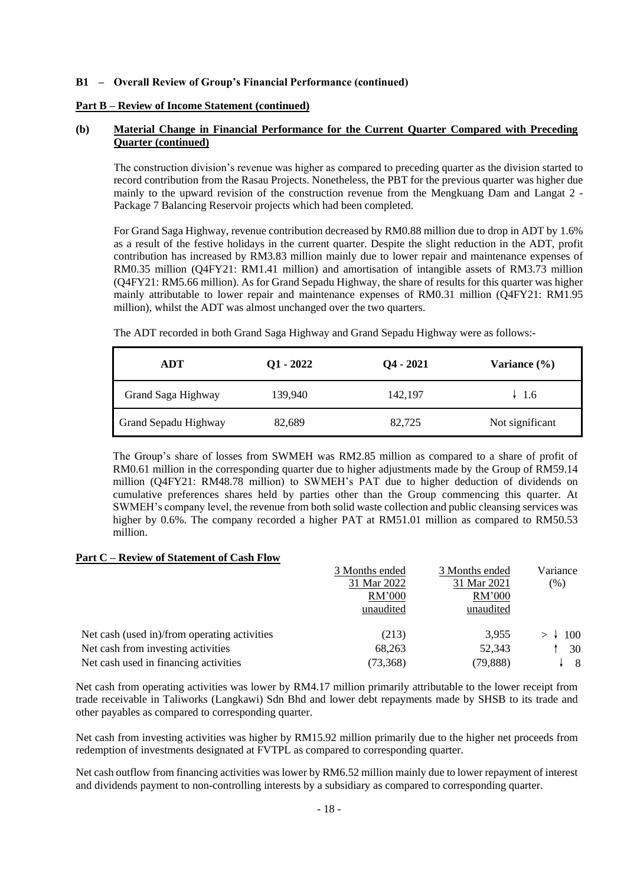#### **Part B – Review of Income Statement (continued)**

### **(b) Material Change in Financial Performance for the Current Quarter Compared with Preceding Quarter (continued)**

The construction division's revenue was higher as compared to preceding quarter as the division started to record contribution from the Rasau Projects. Nonetheless, the PBT for the previous quarter was higher due mainly to the upward revision of the construction revenue from the Mengkuang Dam and Langat 2 - Package 7 Balancing Reservoir projects which had been completed.

For Grand Saga Highway, revenue contribution decreased by RM0.88 million due to drop in ADT by 1.6% as a result of the festive holidays in the current quarter. Despite the slight reduction in the ADT, profit contribution has increased by RM3.83 million mainly due to lower repair and maintenance expenses of RM0.35 million (Q4FY21: RM1.41 million) and amortisation of intangible assets of RM3.73 million (Q4FY21: RM5.66 million). As for Grand Sepadu Highway, the share of results for this quarter was higher mainly attributable to lower repair and maintenance expenses of RM0.31 million (Q4FY21: RM1.95 million), whilst the ADT was almost unchanged over the two quarters.

The ADT recorded in both Grand Saga Highway and Grand Sepadu Highway were as follows:-

| ADT                  | $Q1 - 2022$ | $Q_4 - 2021$ | Variance $(\% )$ |
|----------------------|-------------|--------------|------------------|
| Grand Saga Highway   | 139,940     | 142,197      | $\downarrow$ 1.6 |
| Grand Sepadu Highway | 82,689      | 82,725       | Not significant  |

The Group's share of losses from SWMEH was RM2.85 million as compared to a share of profit of RM0.61 million in the corresponding quarter due to higher adjustments made by the Group of RM59.14 million (Q4FY21: RM48.78 million) to SWMEH's PAT due to higher deduction of dividends on cumulative preferences shares held by parties other than the Group commencing this quarter. At SWMEH's company level, the revenue from both solid waste collection and public cleansing services was higher by 0.6%. The company recorded a higher PAT at RM51.01 million as compared to RM50.53 million.

### **Part C – Review of Statement of Cash Flow**

|                                              | 3 Months ended | 3 Months ended | Variance |
|----------------------------------------------|----------------|----------------|----------|
|                                              | 31 Mar 2022    | 31 Mar 2021    | (% )     |
|                                              | RM'000         | RM'000         |          |
|                                              | unaudited      | unaudited      |          |
| Net cash (used in)/from operating activities | (213)          | 3,955          | 100      |
| Net cash from investing activities           | 68,263         | 52,343         | 30       |
| Net cash used in financing activities        | (73,368)       | (79, 888)      | - 8      |

Net cash from operating activities was lower by RM4.17 million primarily attributable to the lower receipt from trade receivable in Taliworks (Langkawi) Sdn Bhd and lower debt repayments made by SHSB to its trade and other payables as compared to corresponding quarter.

Net cash from investing activities was higher by RM15.92 million primarily due to the higher net proceeds from redemption of investments designated at FVTPL as compared to corresponding quarter.

Net cash outflow from financing activities was lower by RM6.52 million mainly due to lower repayment of interest and dividends payment to non-controlling interests by a subsidiary as compared to corresponding quarter.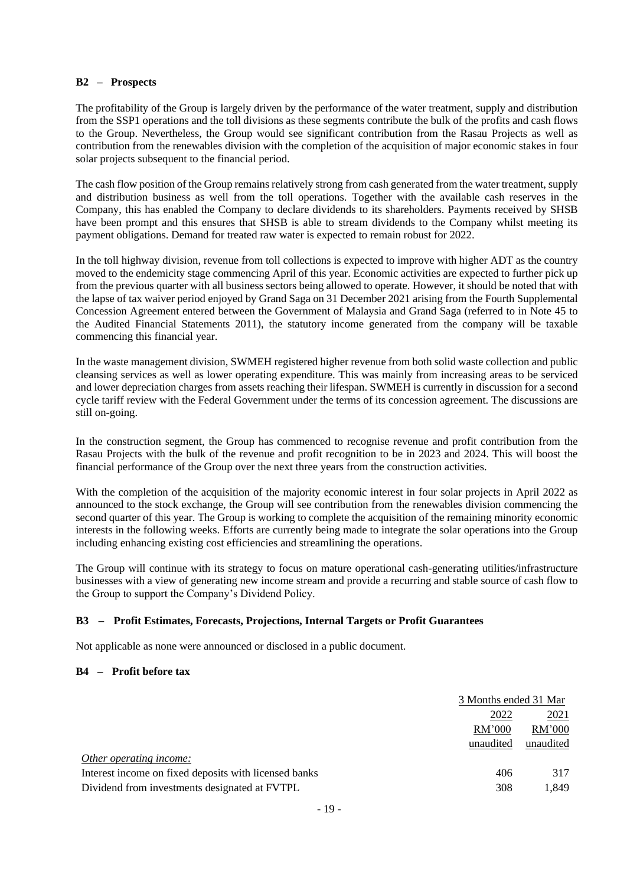#### **B2 – Prospects**

The profitability of the Group is largely driven by the performance of the water treatment, supply and distribution from the SSP1 operations and the toll divisions as these segments contribute the bulk of the profits and cash flows to the Group. Nevertheless, the Group would see significant contribution from the Rasau Projects as well as contribution from the renewables division with the completion of the acquisition of major economic stakes in four solar projects subsequent to the financial period.

The cash flow position of the Group remains relatively strong from cash generated from the water treatment, supply and distribution business as well from the toll operations. Together with the available cash reserves in the Company, this has enabled the Company to declare dividends to its shareholders. Payments received by SHSB have been prompt and this ensures that SHSB is able to stream dividends to the Company whilst meeting its payment obligations. Demand for treated raw water is expected to remain robust for 2022.

In the toll highway division, revenue from toll collections is expected to improve with higher ADT as the country moved to the endemicity stage commencing April of this year. Economic activities are expected to further pick up from the previous quarter with all business sectors being allowed to operate. However, it should be noted that with the lapse of tax waiver period enjoyed by Grand Saga on 31 December 2021 arising from the Fourth Supplemental Concession Agreement entered between the Government of Malaysia and Grand Saga (referred to in Note 45 to the Audited Financial Statements 2011), the statutory income generated from the company will be taxable commencing this financial year.

In the waste management division, SWMEH registered higher revenue from both solid waste collection and public cleansing services as well as lower operating expenditure. This was mainly from increasing areas to be serviced and lower depreciation charges from assets reaching their lifespan. SWMEH is currently in discussion for a second cycle tariff review with the Federal Government under the terms of its concession agreement. The discussions are still on-going.

In the construction segment, the Group has commenced to recognise revenue and profit contribution from the Rasau Projects with the bulk of the revenue and profit recognition to be in 2023 and 2024. This will boost the financial performance of the Group over the next three years from the construction activities.

With the completion of the acquisition of the majority economic interest in four solar projects in April 2022 as announced to the stock exchange, the Group will see contribution from the renewables division commencing the second quarter of this year. The Group is working to complete the acquisition of the remaining minority economic interests in the following weeks. Efforts are currently being made to integrate the solar operations into the Group including enhancing existing cost efficiencies and streamlining the operations.

The Group will continue with its strategy to focus on mature operational cash-generating utilities/infrastructure businesses with a view of generating new income stream and provide a recurring and stable source of cash flow to the Group to support the Company's Dividend Policy.

### **B3 – Profit Estimates, Forecasts, Projections, Internal Targets or Profit Guarantees**

Not applicable as none were announced or disclosed in a public document.

### **B4 – Profit before tax**

|                                                       | 3 Months ended 31 Mar |           |
|-------------------------------------------------------|-----------------------|-----------|
|                                                       | 2022                  | 2021      |
| RM'000                                                |                       | RM'000    |
| unaudited                                             |                       | unaudited |
| Other operating income:                               |                       |           |
| Interest income on fixed deposits with licensed banks | 406                   | 317       |
| Dividend from investments designated at FVTPL         | 308                   | 1.849     |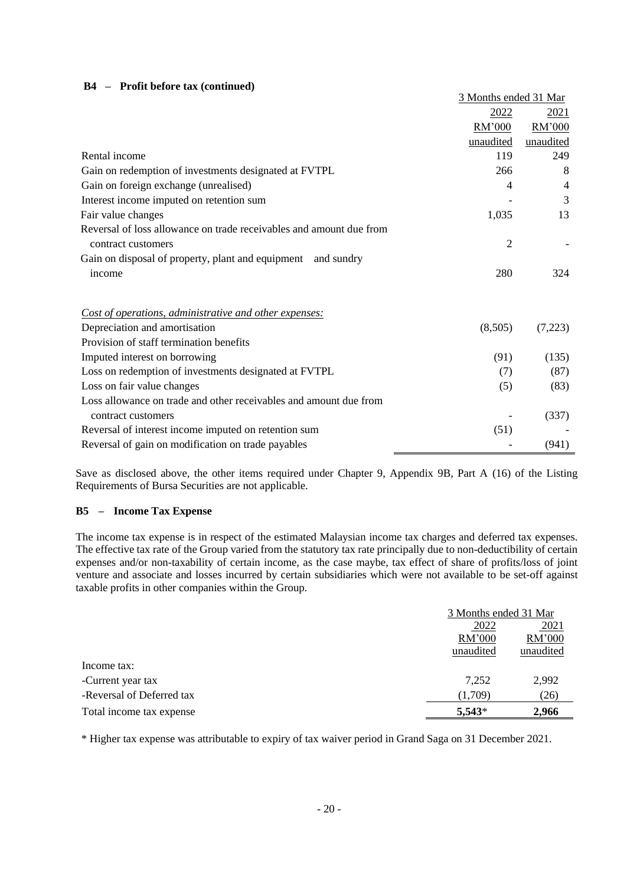### **B4 – Profit before tax (continued)**

|                                                                     | 3 Months ended 31 Mar |                |
|---------------------------------------------------------------------|-----------------------|----------------|
|                                                                     | 2022                  | 2021           |
|                                                                     | RM'000                | RM'000         |
|                                                                     | unaudited             | unaudited      |
| Rental income                                                       | 119                   | 249            |
| Gain on redemption of investments designated at FVTPL               | 266                   | 8              |
| Gain on foreign exchange (unrealised)                               | 4                     | $\overline{4}$ |
| Interest income imputed on retention sum                            |                       | 3              |
| Fair value changes                                                  | 1,035                 | 13             |
| Reversal of loss allowance on trade receivables and amount due from |                       |                |
| contract customers                                                  | $\overline{2}$        |                |
| Gain on disposal of property, plant and equipment and sundry        |                       |                |
| income                                                              | 280                   | 324            |
|                                                                     |                       |                |
| Cost of operations, administrative and other expenses:              |                       |                |
| Depreciation and amortisation                                       | (8,505)               | (7,223)        |
| Provision of staff termination benefits                             |                       |                |
| Imputed interest on borrowing                                       | (91)                  | (135)          |
| Loss on redemption of investments designated at FVTPL               | (7)                   | (87)           |
| Loss on fair value changes                                          | (5)                   | (83)           |
| Loss allowance on trade and other receivables and amount due from   |                       |                |
| contract customers                                                  |                       | (337)          |
| Reversal of interest income imputed on retention sum                | (51)                  |                |
| Reversal of gain on modification on trade payables                  |                       | (941)          |

Save as disclosed above, the other items required under Chapter 9, Appendix 9B, Part A (16) of the Listing Requirements of Bursa Securities are not applicable.

### **B5 – Income Tax Expense**

The income tax expense is in respect of the estimated Malaysian income tax charges and deferred tax expenses. The effective tax rate of the Group varied from the statutory tax rate principally due to non-deductibility of certain expenses and/or non-taxability of certain income, as the case maybe, tax effect of share of profits/loss of joint venture and associate and losses incurred by certain subsidiaries which were not available to be set-off against taxable profits in other companies within the Group.

|                           |           | 3 Months ended 31 Mar |  |
|---------------------------|-----------|-----------------------|--|
|                           | 2022      | 2021                  |  |
|                           | RM'000    | RM'000                |  |
|                           | unaudited | unaudited             |  |
| Income tax:               |           |                       |  |
| -Current year tax         | 7.252     | 2,992                 |  |
| -Reversal of Deferred tax | (1.709)   | (26)                  |  |
| Total income tax expense  | $5,543*$  | 2,966                 |  |

\* Higher tax expense was attributable to expiry of tax waiver period in Grand Saga on 31 December 2021.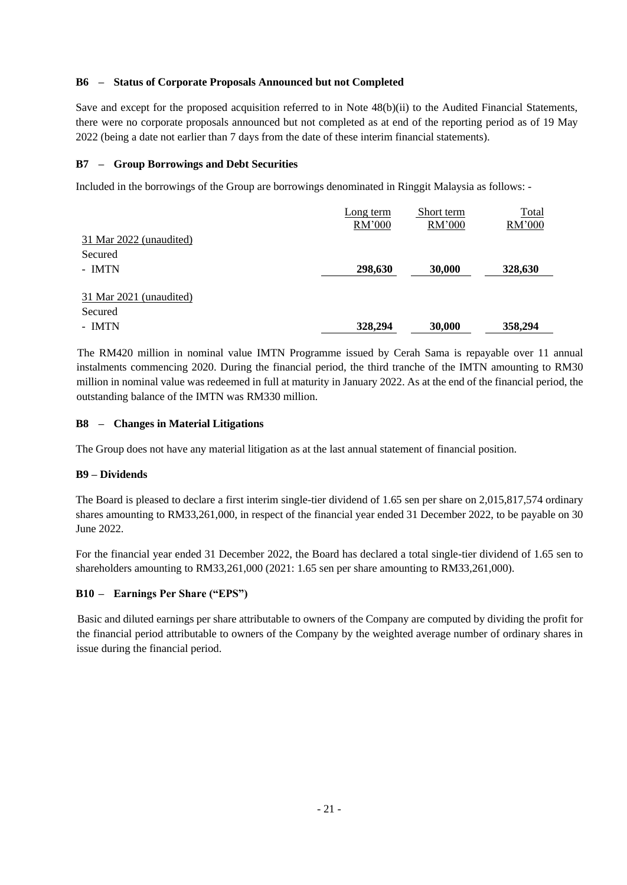### **B6 – Status of Corporate Proposals Announced but not Completed**

Save and except for the proposed acquisition referred to in Note 48(b)(ii) to the Audited Financial Statements, there were no corporate proposals announced but not completed as at end of the reporting period as of 19 May 2022 (being a date not earlier than 7 days from the date of these interim financial statements).

### **B7 – Group Borrowings and Debt Securities**

Included in the borrowings of the Group are borrowings denominated in Ringgit Malaysia as follows: -

|                         | Long term | Short term | Total   |
|-------------------------|-----------|------------|---------|
|                         | RM'000    | RM'000     | RM'000  |
| 31 Mar 2022 (unaudited) |           |            |         |
| Secured                 |           |            |         |
| - IMTN                  | 298,630   | 30,000     | 328,630 |
|                         |           |            |         |
| 31 Mar 2021 (unaudited) |           |            |         |
| Secured                 |           |            |         |
| - IMTN                  | 328,294   | 30,000     | 358,294 |

The RM420 million in nominal value IMTN Programme issued by Cerah Sama is repayable over 11 annual instalments commencing 2020. During the financial period, the third tranche of the IMTN amounting to RM30 million in nominal value was redeemed in full at maturity in January 2022. As at the end of the financial period, the outstanding balance of the IMTN was RM330 million.

### **B8 – Changes in Material Litigations**

The Group does not have any material litigation as at the last annual statement of financial position.

### **B9 – Dividends**

The Board is pleased to declare a first interim single-tier dividend of 1.65 sen per share on 2,015,817,574 ordinary shares amounting to RM33,261,000, in respect of the financial year ended 31 December 2022, to be payable on 30 June 2022.

For the financial year ended 31 December 2022, the Board has declared a total single-tier dividend of 1.65 sen to shareholders amounting to RM33,261,000 (2021: 1.65 sen per share amounting to RM33,261,000).

### **B10 – Earnings Per Share ("EPS")**

Basic and diluted earnings per share attributable to owners of the Company are computed by dividing the profit for the financial period attributable to owners of the Company by the weighted average number of ordinary shares in issue during the financial period.